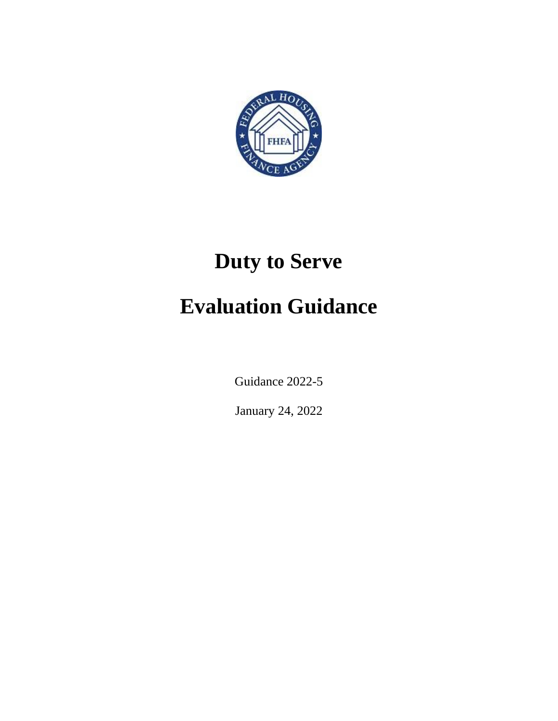

# **Duty to Serve Evaluation Guidance**

Guidance 2022-5

January 24, 2022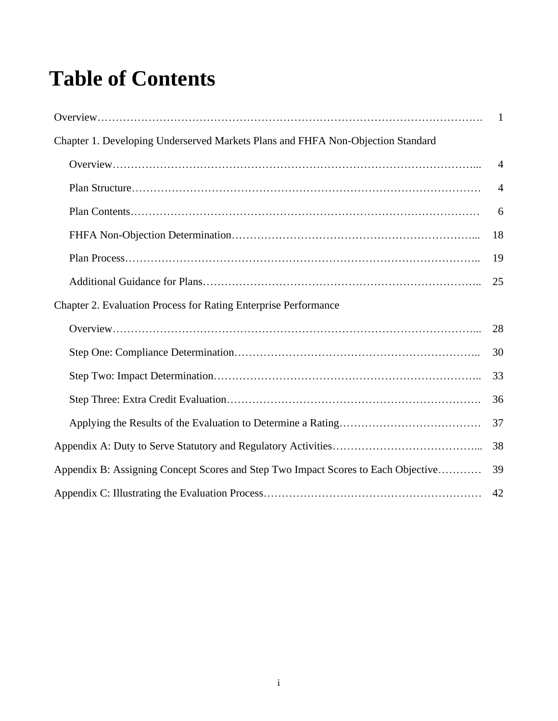## **Table of Contents**

| Chapter 1. Developing Underserved Markets Plans and FHFA Non-Objection Standard   |                |
|-----------------------------------------------------------------------------------|----------------|
|                                                                                   | $\overline{4}$ |
|                                                                                   | $\overline{4}$ |
|                                                                                   | 6              |
|                                                                                   | 18             |
|                                                                                   | 19             |
|                                                                                   | 25             |
| <b>Chapter 2. Evaluation Process for Rating Enterprise Performance</b>            |                |
|                                                                                   | 28             |
|                                                                                   | 30             |
|                                                                                   | 33             |
|                                                                                   | 36             |
|                                                                                   | 37             |
|                                                                                   | 38             |
| Appendix B: Assigning Concept Scores and Step Two Impact Scores to Each Objective | 39             |
|                                                                                   | 42             |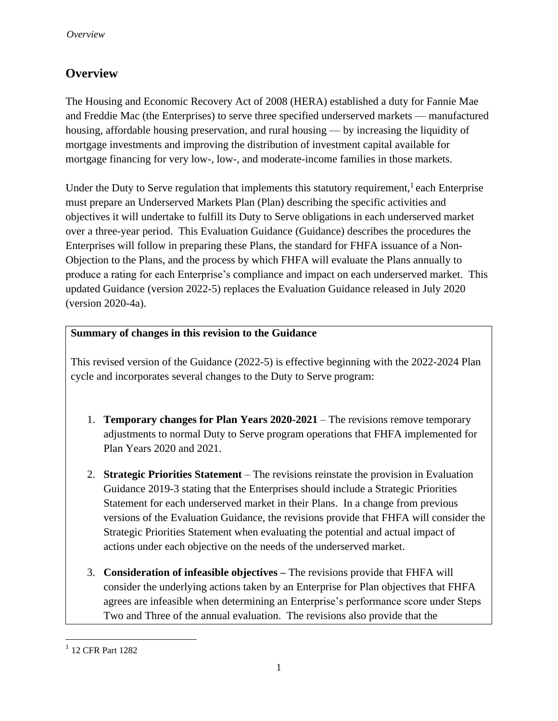## <span id="page-2-0"></span>**Overview**

The Housing and Economic Recovery Act of 2008 (HERA) established a duty for Fannie Mae and Freddie Mac (the Enterprises) to serve three specified underserved markets — manufactured housing, affordable housing preservation, and rural housing — by increasing the liquidity of mortgage investments and improving the distribution of investment capital available for mortgage financing for very low-, low-, and moderate-income families in those markets.

Under the Duty to Serve regulation that implements this statutory requirement,  $\frac{1}{1}$  each Enterprise must prepare an Underserved Markets Plan (Plan) describing the specific activities and objectives it will undertake to fulfill its Duty to Serve obligations in each underserved market over a three-year period. This Evaluation Guidance (Guidance) describes the procedures the Enterprises will follow in preparing these Plans, the standard for FHFA issuance of a Non-Objection to the Plans, and the process by which FHFA will evaluate the Plans annually to produce a rating for each Enterprise's compliance and impact on each underserved market. This updated Guidance (version 2022-5) replaces the Evaluation Guidance released in July 2020 (version 2020-4a).

#### **Summary of changes in this revision to the Guidance**

This revised version of the Guidance (2022-5) is effective beginning with the 2022-2024 Plan cycle and incorporates several changes to the Duty to Serve program:

- 1. **Temporary changes for Plan Years 2020-2021** The revisions remove temporary adjustments to normal Duty to Serve program operations that FHFA implemented for Plan Years 2020 and 2021.
- 2. **Strategic Priorities Statement**  The revisions reinstate the provision in Evaluation Guidance 2019-3 stating that the Enterprises should include a Strategic Priorities Statement for each underserved market in their Plans. In a change from previous versions of the Evaluation Guidance, the revisions provide that FHFA will consider the Strategic Priorities Statement when evaluating the potential and actual impact of actions under each objective on the needs of the underserved market.
- 3. **Consideration of infeasible objectives –** The revisions provide that FHFA will consider the underlying actions taken by an Enterprise for Plan objectives that FHFA agrees are infeasible when determining an Enterprise's performance score under Steps Two and Three of the annual evaluation. The revisions also provide that the

<sup>&</sup>lt;sup>1</sup> 12 CFR Part 1282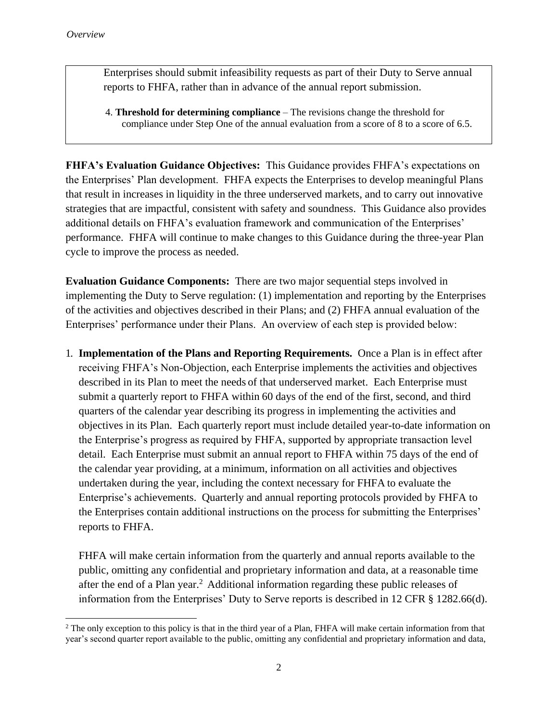Enterprises should submit infeasibility requests as part of their Duty to Serve annual reports to FHFA, rather than in advance of the annual report submission.

4. **Threshold for determining compliance** – The revisions change the threshold for compliance under Step One of the annual evaluation from a score of 8 to a score of 6.5.

**FHFA's Evaluation Guidance Objectives:** This Guidance provides FHFA's expectations on the Enterprises' Plan development. FHFA expects the Enterprises to develop meaningful Plans that result in increases in liquidity in the three underserved markets, and to carry out innovative strategies that are impactful, consistent with safety and soundness. This Guidance also provides additional details on FHFA's evaluation framework and communication of the Enterprises' performance. FHFA will continue to make changes to this Guidance during the three-year Plan cycle to improve the process as needed.

**Evaluation Guidance Components:** There are two major sequential steps involved in implementing the Duty to Serve regulation: (1) implementation and reporting by the Enterprises of the activities and objectives described in their Plans; and (2) FHFA annual evaluation of the Enterprises' performance under their Plans. An overview of each step is provided below:

1. **Implementation of the Plans and Reporting Requirements.** Once a Plan is in effect after receiving FHFA's Non-Objection, each Enterprise implements the activities and objectives described in its Plan to meet the needs of that underserved market. Each Enterprise must submit a quarterly report to FHFA within 60 days of the end of the first, second, and third quarters of the calendar year describing its progress in implementing the activities and objectives in its Plan. Each quarterly report must include detailed year-to-date information on the Enterprise's progress as required by FHFA, supported by appropriate transaction level detail. Each Enterprise must submit an annual report to FHFA within 75 days of the end of the calendar year providing, at a minimum, information on all activities and objectives undertaken during the year, including the context necessary for FHFA to evaluate the Enterprise's achievements. Quarterly and annual reporting protocols provided by FHFA to the Enterprises contain additional instructions on the process for submitting the Enterprises' reports to FHFA.

FHFA will make certain information from the quarterly and annual reports available to the public, omitting any confidential and proprietary information and data, at a reasonable time after the end of a Plan year.<sup>2</sup> Additional information regarding these public releases of information from the Enterprises' Duty to Serve reports is described in 12 CFR § 1282.66(d).

 $2$  The only exception to this policy is that in the third year of a Plan, FHFA will make certain information from that year's second quarter report available to the public, omitting any confidential and proprietary information and data,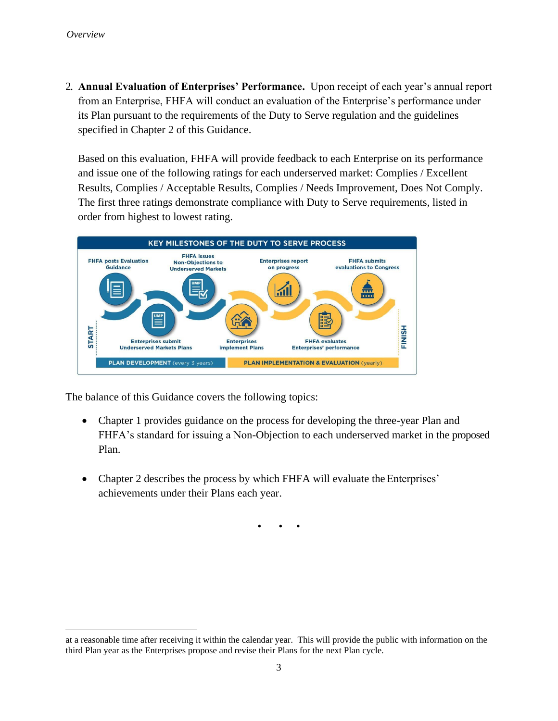2. **Annual Evaluation of Enterprises' Performance.** Upon receipt of each year's annual report from an Enterprise, FHFA will conduct an evaluation of the Enterprise's performance under its Plan pursuant to the requirements of the Duty to Serve regulation and the guidelines specified in Chapter 2 of this Guidance.

Based on this evaluation, FHFA will provide feedback to each Enterprise on its performance and issue one of the following ratings for each underserved market: Complies / Excellent Results, Complies / Acceptable Results, Complies / Needs Improvement, Does Not Comply. The first three ratings demonstrate compliance with Duty to Serve requirements, listed in order from highest to lowest rating.



The balance of this Guidance covers the following topics:

- Chapter 1 provides guidance on the process for developing the three-year Plan and FHFA's standard for issuing a Non-Objection to each underserved market in the proposed Plan.
- Chapter 2 describes the process by which FHFA will evaluate the Enterprises' achievements under their Plans each year.

• • •

at a reasonable time after receiving it within the calendar year. This will provide the public with information on the third Plan year as the Enterprises propose and revise their Plans for the next Plan cycle.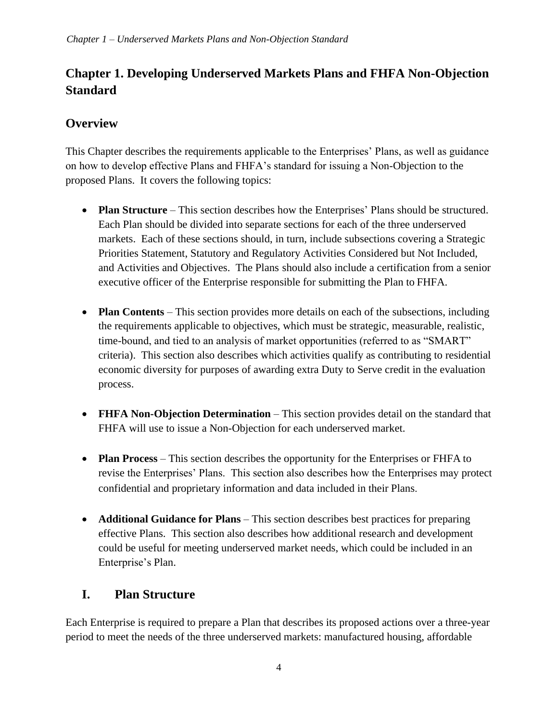## **Chapter 1. Developing Underserved Markets Plans and FHFA Non-Objection Standard**

## <span id="page-5-0"></span>**Overview**

This Chapter describes the requirements applicable to the Enterprises' Plans, as well as guidance on how to develop effective Plans and FHFA's standard for issuing a Non-Objection to the proposed Plans. It covers the following topics:

- **Plan Structure** This section describes how the Enterprises' Plans should be structured. Each Plan should be divided into separate sections for each of the three underserved markets. Each of these sections should, in turn, include subsections covering a Strategic Priorities Statement, Statutory and Regulatory Activities Considered but Not Included, and Activities and Objectives. The Plans should also include a certification from a senior executive officer of the Enterprise responsible for submitting the Plan to FHFA.
- **Plan Contents** This section provides more details on each of the subsections, including the requirements applicable to objectives, which must be strategic, measurable, realistic, time-bound, and tied to an analysis of market opportunities (referred to as "SMART" criteria). This section also describes which activities qualify as contributing to residential economic diversity for purposes of awarding extra Duty to Serve credit in the evaluation process.
- **FHFA Non-Objection Determination** This section provides detail on the standard that FHFA will use to issue a Non-Objection for each underserved market.
- **Plan Process** This section describes the opportunity for the Enterprises or FHFA to revise the Enterprises' Plans. This section also describes how the Enterprises may protect confidential and proprietary information and data included in their Plans
- **Additional Guidance for Plans** This section describes best practices for preparing effective Plans. This section also describes how additional research and development could be useful for meeting underserved market needs, which could be included in an Enterprise's Plan.

## <span id="page-5-1"></span>**I. Plan Structure**

Each Enterprise is required to prepare a Plan that describes its proposed actions over a three-year period to meet the needs of the three underserved markets: manufactured housing, affordable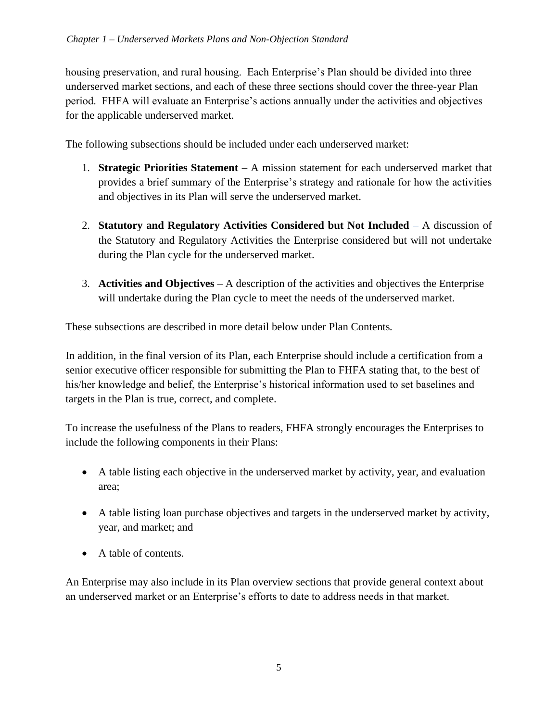housing preservation, and rural housing. Each Enterprise's Plan should be divided into three underserved market sections, and each of these three sections should cover the three-year Plan period. FHFA will evaluate an Enterprise's actions annually under the activities and objectives for the applicable underserved market.

The following subsections should be included under each underserved market:

- 1. **Strategic Priorities Statement**  A mission statement for each underserved market that provides a brief summary of the Enterprise's strategy and rationale for how the activities and objectives in its Plan will serve the underserved market.
- 2. **Statutory and Regulatory Activities Considered but Not Included** *–* A discussion of the Statutory and Regulatory Activities the Enterprise considered but will not undertake during the Plan cycle for the underserved market.
- 3. **Activities and Objectives**  A description of the activities and objectives the Enterprise will undertake during the Plan cycle to meet the needs of the underserved market.

These subsections are described in more detail below under Plan Contents*.* 

In addition, in the final version of its Plan, each Enterprise should include a certification from a senior executive officer responsible for submitting the Plan to FHFA stating that, to the best of his/her knowledge and belief, the Enterprise's historical information used to set baselines and targets in the Plan is true, correct, and complete.

To increase the usefulness of the Plans to readers, FHFA strongly encourages the Enterprises to include the following components in their Plans:

- A table listing each objective in the underserved market by activity, year, and evaluation area;
- A table listing loan purchase objectives and targets in the underserved market by activity, year, and market; and
- A table of contents.

An Enterprise may also include in its Plan overview sections that provide general context about an underserved market or an Enterprise's efforts to date to address needs in that market.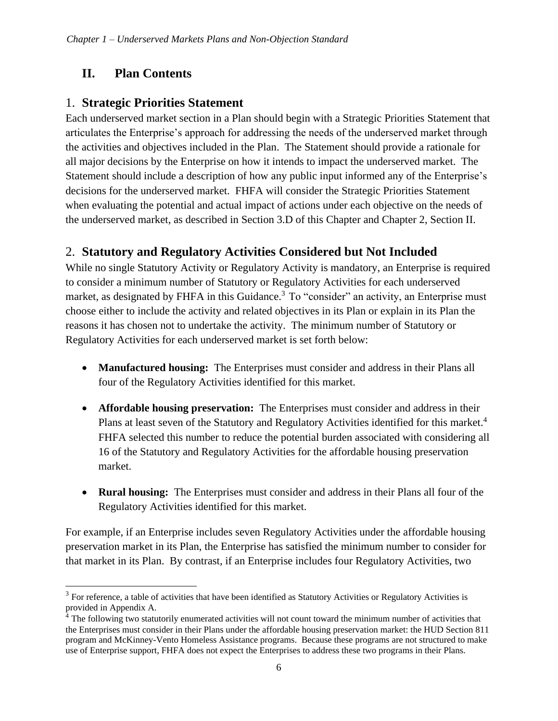## <span id="page-7-0"></span>**II. Plan Contents**

#### 1. **Strategic Priorities Statement**

Each underserved market section in a Plan should begin with a Strategic Priorities Statement that articulates the Enterprise's approach for addressing the needs of the underserved market through the activities and objectives included in the Plan. The Statement should provide a rationale for all major decisions by the Enterprise on how it intends to impact the underserved market. The Statement should include a description of how any public input informed any of the Enterprise's decisions for the underserved market. FHFA will consider the Strategic Priorities Statement when evaluating the potential and actual impact of actions under each objective on the needs of the underserved market, as described in Section 3.D of this Chapter and Chapter 2, Section II.

## 2. **Statutory and Regulatory Activities Considered but Not Included**

While no single Statutory Activity or Regulatory Activity is mandatory, an Enterprise is required to consider a minimum number of Statutory or Regulatory Activities for each underserved market, as designated by FHFA in this Guidance.<sup>3</sup> To "consider" an activity, an Enterprise must choose either to include the activity and related objectives in its Plan or explain in its Plan the reasons it has chosen not to undertake the activity. The minimum number of Statutory or Regulatory Activities for each underserved market is set forth below:

- **Manufactured housing:** The Enterprises must consider and address in their Plans all four of the Regulatory Activities identified for this market.
- **Affordable housing preservation:** The Enterprises must consider and address in their Plans at least seven of the Statutory and Regulatory Activities identified for this market.<sup>4</sup> FHFA selected this number to reduce the potential burden associated with considering all 16 of the Statutory and Regulatory Activities for the affordable housing preservation market.
- **Rural housing:** The Enterprises must consider and address in their Plans all four of the Regulatory Activities identified for this market.

For example, if an Enterprise includes seven Regulatory Activities under the affordable housing preservation market in its Plan, the Enterprise has satisfied the minimum number to consider for that market in its Plan. By contrast, if an Enterprise includes four Regulatory Activities, two

 $3$  For reference, a table of activities that have been identified as Statutory Activities or Regulatory Activities is provided in Appendix A.

<sup>&</sup>lt;sup>4</sup> The following two statutorily enumerated activities will not count toward the minimum number of activities that the Enterprises must consider in their Plans under the affordable housing preservation market: the HUD Section 811 program and McKinney-Vento Homeless Assistance programs. Because these programs are not structured to make use of Enterprise support, FHFA does not expect the Enterprises to address these two programs in their Plans.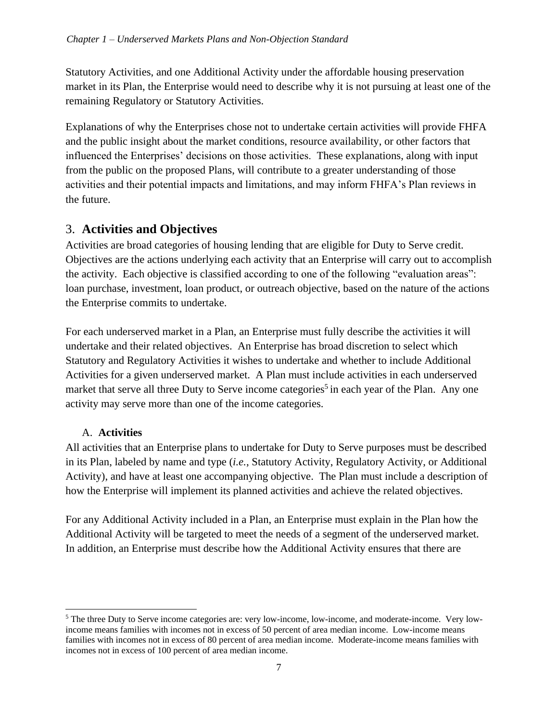Statutory Activities, and one Additional Activity under the affordable housing preservation market in its Plan, the Enterprise would need to describe why it is not pursuing at least one of the remaining Regulatory or Statutory Activities.

Explanations of why the Enterprises chose not to undertake certain activities will provide FHFA and the public insight about the market conditions, resource availability, or other factors that influenced the Enterprises' decisions on those activities. These explanations, along with input from the public on the proposed Plans, will contribute to a greater understanding of those activities and their potential impacts and limitations, and may inform FHFA's Plan reviews in the future.

## 3. **Activities and Objectives**

Activities are broad categories of housing lending that are eligible for Duty to Serve credit. Objectives are the actions underlying each activity that an Enterprise will carry out to accomplish the activity. Each objective is classified according to one of the following "evaluation areas": loan purchase, investment, loan product, or outreach objective, based on the nature of the actions the Enterprise commits to undertake.

For each underserved market in a Plan, an Enterprise must fully describe the activities it will undertake and their related objectives. An Enterprise has broad discretion to select which Statutory and Regulatory Activities it wishes to undertake and whether to include Additional Activities for a given underserved market. A Plan must include activities in each underserved market that serve all three Duty to Serve income categories<sup>5</sup> in each year of the Plan. Any one activity may serve more than one of the income categories.

#### A. **Activities**

All activities that an Enterprise plans to undertake for Duty to Serve purposes must be described in its Plan, labeled by name and type (*i.e.*, Statutory Activity, Regulatory Activity, or Additional Activity), and have at least one accompanying objective. The Plan must include a description of how the Enterprise will implement its planned activities and achieve the related objectives.

For any Additional Activity included in a Plan, an Enterprise must explain in the Plan how the Additional Activity will be targeted to meet the needs of a segment of the underserved market. In addition, an Enterprise must describe how the Additional Activity ensures that there are

<sup>&</sup>lt;sup>5</sup> The three Duty to Serve income categories are: very low-income, low-income, and moderate-income. Very lowincome means families with incomes not in excess of 50 percent of area median income. Low-income means families with incomes not in excess of 80 percent of area median income. Moderate-income means families with incomes not in excess of 100 percent of area median income.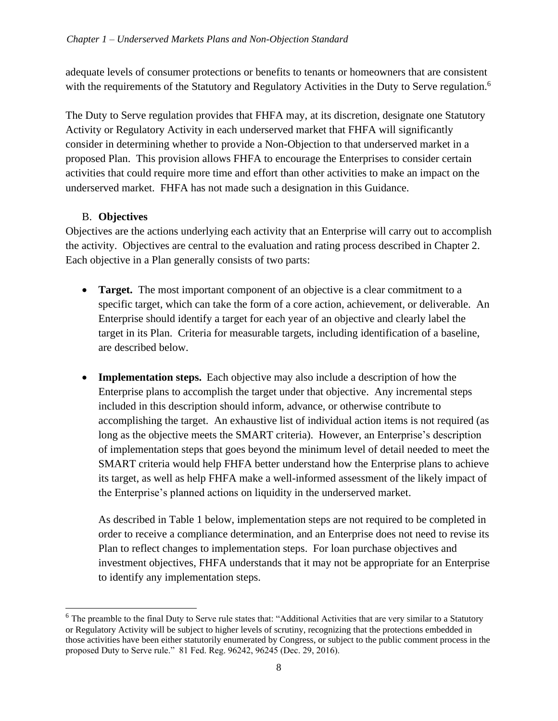adequate levels of consumer protections or benefits to tenants or homeowners that are consistent with the requirements of the Statutory and Regulatory Activities in the Duty to Serve regulation.<sup>6</sup>

The Duty to Serve regulation provides that FHFA may, at its discretion, designate one Statutory Activity or Regulatory Activity in each underserved market that FHFA will significantly consider in determining whether to provide a Non-Objection to that underserved market in a proposed Plan. This provision allows FHFA to encourage the Enterprises to consider certain activities that could require more time and effort than other activities to make an impact on the underserved market. FHFA has not made such a designation in this Guidance.

#### B. **Objectives**

Objectives are the actions underlying each activity that an Enterprise will carry out to accomplish the activity. Objectives are central to the evaluation and rating process described in Chapter 2. Each objective in a Plan generally consists of two parts:

- **Target.** The most important component of an objective is a clear commitment to a specific target, which can take the form of a core action, achievement, or deliverable. An Enterprise should identify a target for each year of an objective and clearly label the target in its Plan. Criteria for measurable targets, including identification of a baseline, are described below.
- **Implementation steps.** Each objective may also include a description of how the Enterprise plans to accomplish the target under that objective. Any incremental steps included in this description should inform, advance, or otherwise contribute to accomplishing the target. An exhaustive list of individual action items is not required (as long as the objective meets the SMART criteria). However, an Enterprise's description of implementation steps that goes beyond the minimum level of detail needed to meet the SMART criteria would help FHFA better understand how the Enterprise plans to achieve its target, as well as help FHFA make a well-informed assessment of the likely impact of the Enterprise's planned actions on liquidity in the underserved market.

As described in Table 1 below, implementation steps are not required to be completed in order to receive a compliance determination, and an Enterprise does not need to revise its Plan to reflect changes to implementation steps. For loan purchase objectives and investment objectives, FHFA understands that it may not be appropriate for an Enterprise to identify any implementation steps.

<sup>&</sup>lt;sup>6</sup> The preamble to the final Duty to Serve rule states that: "Additional Activities that are very similar to a Statutory or Regulatory Activity will be subject to higher levels of scrutiny, recognizing that the protections embedded in those activities have been either statutorily enumerated by Congress, or subject to the public comment process in the proposed Duty to Serve rule." 81 Fed. Reg. 96242, 96245 (Dec. 29, 2016).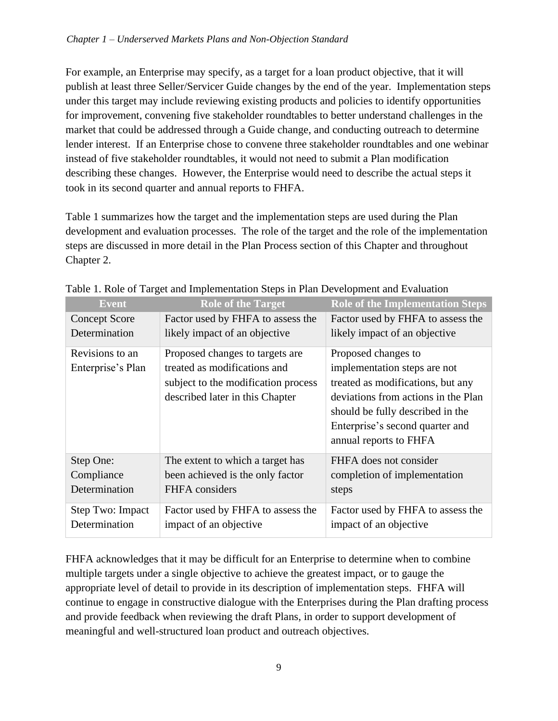For example, an Enterprise may specify, as a target for a loan product objective, that it will publish at least three Seller/Servicer Guide changes by the end of the year. Implementation steps under this target may include reviewing existing products and policies to identify opportunities for improvement, convening five stakeholder roundtables to better understand challenges in the market that could be addressed through a Guide change, and conducting outreach to determine lender interest. If an Enterprise chose to convene three stakeholder roundtables and one webinar instead of five stakeholder roundtables, it would not need to submit a Plan modification describing these changes. However, the Enterprise would need to describe the actual steps it took in its second quarter and annual reports to FHFA.

Table 1 summarizes how the target and the implementation steps are used during the Plan development and evaluation processes. The role of the target and the role of the implementation steps are discussed in more detail in the Plan Process section of this Chapter and throughout Chapter 2.

| <b>Event</b>         | <b>Role of the Target</b>           | <b>Role of the Implementation Steps</b> |
|----------------------|-------------------------------------|-----------------------------------------|
| <b>Concept Score</b> | Factor used by FHFA to assess the   | Factor used by FHFA to assess the       |
| Determination        | likely impact of an objective       | likely impact of an objective           |
| Revisions to an      | Proposed changes to targets are     | Proposed changes to                     |
| Enterprise's Plan    | treated as modifications and        | implementation steps are not            |
|                      | subject to the modification process | treated as modifications, but any       |
|                      | described later in this Chapter     | deviations from actions in the Plan     |
|                      |                                     | should be fully described in the        |
|                      |                                     | Enterprise's second quarter and         |
|                      |                                     | annual reports to FHFA                  |
| Step One:            | The extent to which a target has    | FHFA does not consider                  |
| Compliance           | been achieved is the only factor    | completion of implementation            |
| Determination        | FHFA considers                      | steps                                   |
| Step Two: Impact     | Factor used by FHFA to assess the   | Factor used by FHFA to assess the       |
| Determination        | impact of an objective              | impact of an objective                  |

Table 1. Role of Target and Implementation Steps in Plan Development and Evaluation

FHFA acknowledges that it may be difficult for an Enterprise to determine when to combine multiple targets under a single objective to achieve the greatest impact, or to gauge the appropriate level of detail to provide in its description of implementation steps. FHFA will continue to engage in constructive dialogue with the Enterprises during the Plan drafting process and provide feedback when reviewing the draft Plans, in order to support development of meaningful and well-structured loan product and outreach objectives.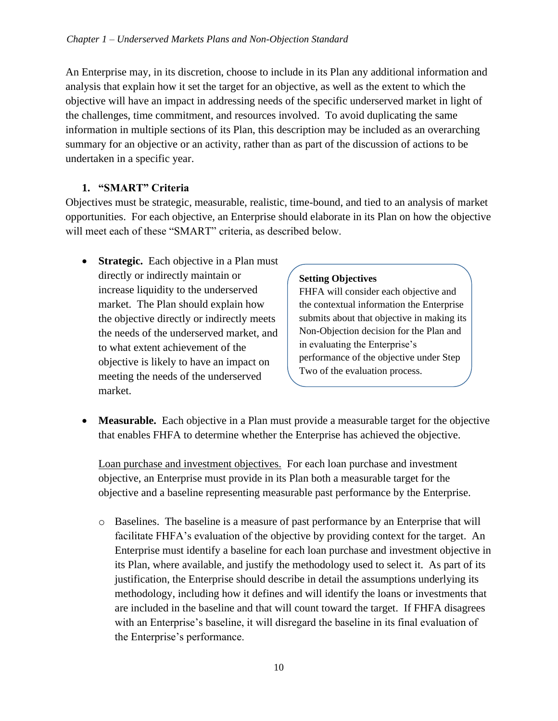An Enterprise may, in its discretion, choose to include in its Plan any additional information and analysis that explain how it set the target for an objective, as well as the extent to which the objective will have an impact in addressing needs of the specific underserved market in light of the challenges, time commitment, and resources involved. To avoid duplicating the same information in multiple sections of its Plan, this description may be included as an overarching summary for an objective or an activity, rather than as part of the discussion of actions to be undertaken in a specific year.

#### **1. "SMART" Criteria**

Objectives must be strategic, measurable, realistic, time-bound, and tied to an analysis of market opportunities. For each objective, an Enterprise should elaborate in its Plan on how the objective will meet each of these "SMART" criteria, as described below.

• **Strategic.** Each objective in a Plan must directly or indirectly maintain or increase liquidity to the underserved market. The Plan should explain how the objective directly or indirectly meets the needs of the underserved market, and to what extent achievement of the objective is likely to have an impact on meeting the needs of the underserved market.

#### **Setting Objectives**

FHFA will consider each objective and the contextual information the Enterprise submits about that objective in making its Non-Objection decision for the Plan and in evaluating the Enterprise's performance of the objective under Step Two of the evaluation process.

• Measurable. Each objective in a Plan must provide a measurable target for the objective that enables FHFA to determine whether the Enterprise has achieved the objective.

Loan purchase and investment objectives. For each loan purchase and investment objective, an Enterprise must provide in its Plan both a measurable target for the objective and a baseline representing measurable past performance by the Enterprise.

o Baselines. The baseline is a measure of past performance by an Enterprise that will facilitate FHFA's evaluation of the objective by providing context for the target. An Enterprise must identify a baseline for each loan purchase and investment objective in its Plan, where available, and justify the methodology used to select it. As part of its justification, the Enterprise should describe in detail the assumptions underlying its methodology, including how it defines and will identify the loans or investments that are included in the baseline and that will count toward the target. If FHFA disagrees with an Enterprise's baseline, it will disregard the baseline in its final evaluation of the Enterprise's performance.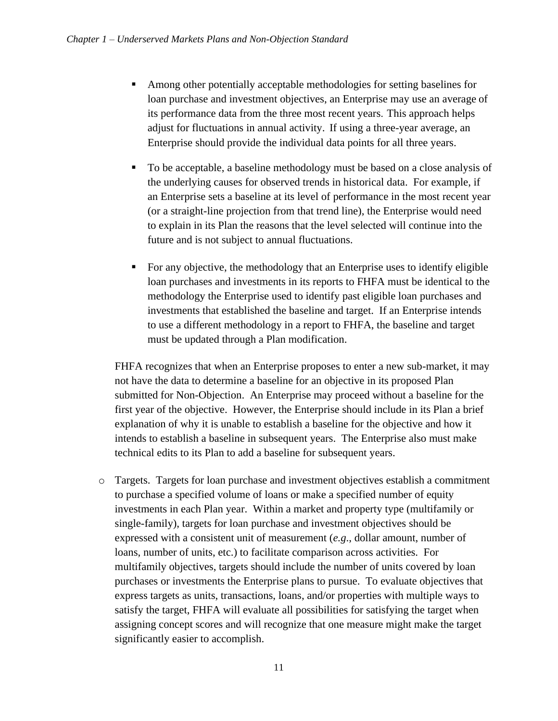- Among other potentially acceptable methodologies for setting baselines for loan purchase and investment objectives, an Enterprise may use an average of its performance data from the three most recent years. This approach helps adjust for fluctuations in annual activity. If using a three-year average, an Enterprise should provide the individual data points for all three years.
- To be acceptable, a baseline methodology must be based on a close analysis of the underlying causes for observed trends in historical data. For example, if an Enterprise sets a baseline at its level of performance in the most recent year (or a straight-line projection from that trend line), the Enterprise would need to explain in its Plan the reasons that the level selected will continue into the future and is not subject to annual fluctuations.
- For any objective, the methodology that an Enterprise uses to identify eligible loan purchases and investments in its reports to FHFA must be identical to the methodology the Enterprise used to identify past eligible loan purchases and investments that established the baseline and target. If an Enterprise intends to use a different methodology in a report to FHFA, the baseline and target must be updated through a Plan modification.

FHFA recognizes that when an Enterprise proposes to enter a new sub-market, it may not have the data to determine a baseline for an objective in its proposed Plan submitted for Non-Objection. An Enterprise may proceed without a baseline for the first year of the objective. However, the Enterprise should include in its Plan a brief explanation of why it is unable to establish a baseline for the objective and how it intends to establish a baseline in subsequent years. The Enterprise also must make technical edits to its Plan to add a baseline for subsequent years.

o Targets. Targets for loan purchase and investment objectives establish a commitment to purchase a specified volume of loans or make a specified number of equity investments in each Plan year. Within a market and property type (multifamily or single-family), targets for loan purchase and investment objectives should be expressed with a consistent unit of measurement (*e.g*., dollar amount, number of loans, number of units, etc.) to facilitate comparison across activities. For multifamily objectives, targets should include the number of units covered by loan purchases or investments the Enterprise plans to pursue. To evaluate objectives that express targets as units, transactions, loans, and/or properties with multiple ways to satisfy the target, FHFA will evaluate all possibilities for satisfying the target when assigning concept scores and will recognize that one measure might make the target significantly easier to accomplish.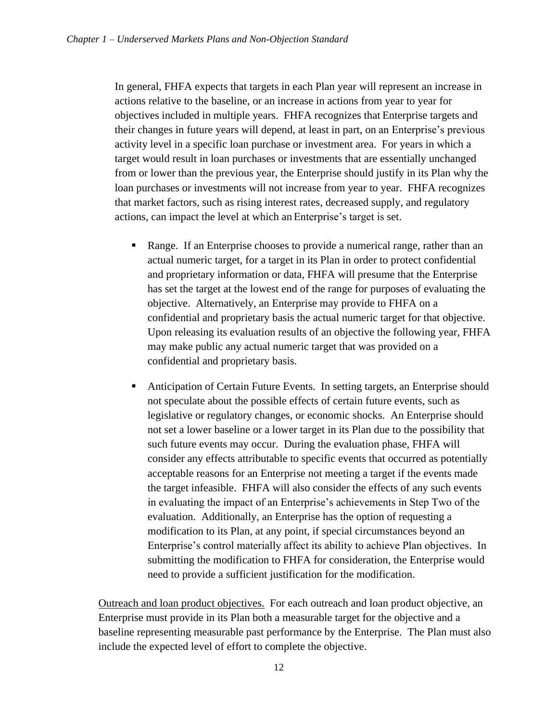In general, FHFA expects that targets in each Plan year will represent an increase in actions relative to the baseline, or an increase in actions from year to year for objectives included in multiple years. FHFA recognizes that Enterprise targets and their changes in future years will depend, at least in part, on an Enterprise's previous activity level in a specific loan purchase or investment area. For years in which a target would result in loan purchases or investments that are essentially unchanged from or lower than the previous year, the Enterprise should justify in its Plan why the loan purchases or investments will not increase from year to year. FHFA recognizes that market factors, such as rising interest rates, decreased supply, and regulatory actions, can impact the level at which an Enterprise's target is set.

- Range. If an Enterprise chooses to provide a numerical range, rather than an actual numeric target, for a target in its Plan in order to protect confidential and proprietary information or data, FHFA will presume that the Enterprise has set the target at the lowest end of the range for purposes of evaluating the objective. Alternatively, an Enterprise may provide to FHFA on a confidential and proprietary basis the actual numeric target for that objective. Upon releasing its evaluation results of an objective the following year, FHFA may make public any actual numeric target that was provided on a confidential and proprietary basis.
- Anticipation of Certain Future Events. In setting targets, an Enterprise should not speculate about the possible effects of certain future events, such as legislative or regulatory changes, or economic shocks. An Enterprise should not set a lower baseline or a lower target in its Plan due to the possibility that such future events may occur. During the evaluation phase, FHFA will consider any effects attributable to specific events that occurred as potentially acceptable reasons for an Enterprise not meeting a target if the events made the target infeasible. FHFA will also consider the effects of any such events in evaluating the impact of an Enterprise's achievements in Step Two of the evaluation. Additionally, an Enterprise has the option of requesting a modification to its Plan, at any point, if special circumstances beyond an Enterprise's control materially affect its ability to achieve Plan objectives. In submitting the modification to FHFA for consideration, the Enterprise would need to provide a sufficient justification for the modification.

Outreach and loan product objectives. For each outreach and loan product objective, an Enterprise must provide in its Plan both a measurable target for the objective and a baseline representing measurable past performance by the Enterprise. The Plan must also include the expected level of effort to complete the objective.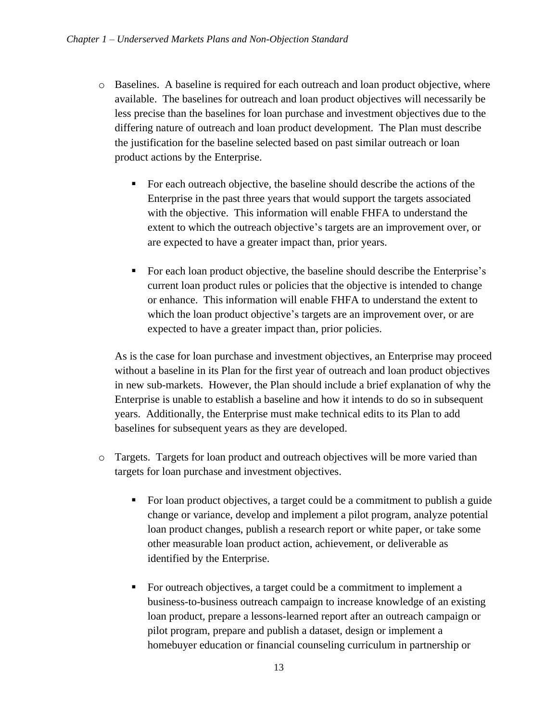- o Baselines. A baseline is required for each outreach and loan product objective, where available. The baselines for outreach and loan product objectives will necessarily be less precise than the baselines for loan purchase and investment objectives due to the differing nature of outreach and loan product development. The Plan must describe the justification for the baseline selected based on past similar outreach or loan product actions by the Enterprise.
	- For each outreach objective, the baseline should describe the actions of the Enterprise in the past three years that would support the targets associated with the objective. This information will enable FHFA to understand the extent to which the outreach objective's targets are an improvement over, or are expected to have a greater impact than, prior years.
	- For each loan product objective, the baseline should describe the Enterprise's current loan product rules or policies that the objective is intended to change or enhance. This information will enable FHFA to understand the extent to which the loan product objective's targets are an improvement over, or are expected to have a greater impact than, prior policies.

As is the case for loan purchase and investment objectives, an Enterprise may proceed without a baseline in its Plan for the first year of outreach and loan product objectives in new sub-markets. However, the Plan should include a brief explanation of why the Enterprise is unable to establish a baseline and how it intends to do so in subsequent years. Additionally, the Enterprise must make technical edits to its Plan to add baselines for subsequent years as they are developed.

- o Targets. Targets for loan product and outreach objectives will be more varied than targets for loan purchase and investment objectives.
	- For loan product objectives, a target could be a commitment to publish a guide change or variance, develop and implement a pilot program, analyze potential loan product changes, publish a research report or white paper, or take some other measurable loan product action, achievement, or deliverable as identified by the Enterprise.
	- For outreach objectives, a target could be a commitment to implement a business-to-business outreach campaign to increase knowledge of an existing loan product, prepare a lessons-learned report after an outreach campaign or pilot program, prepare and publish a dataset, design or implement a homebuyer education or financial counseling curriculum in partnership or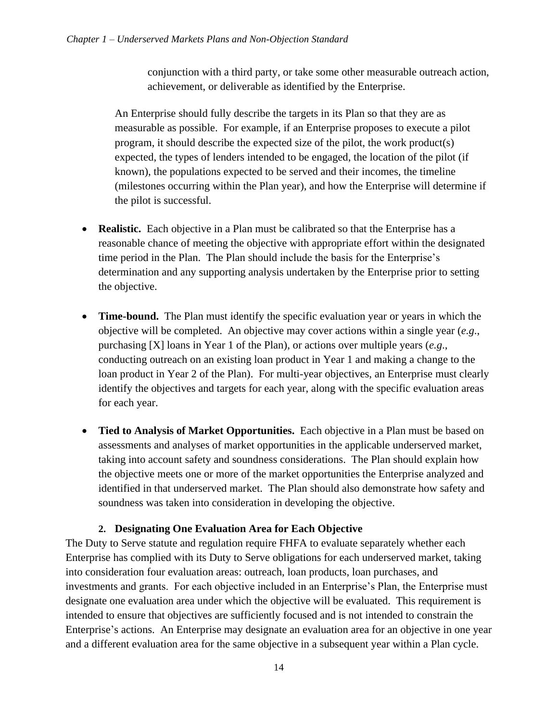conjunction with a third party, or take some other measurable outreach action, achievement, or deliverable as identified by the Enterprise.

An Enterprise should fully describe the targets in its Plan so that they are as measurable as possible. For example, if an Enterprise proposes to execute a pilot program, it should describe the expected size of the pilot, the work product(s) expected, the types of lenders intended to be engaged, the location of the pilot (if known), the populations expected to be served and their incomes, the timeline (milestones occurring within the Plan year), and how the Enterprise will determine if the pilot is successful.

- **Realistic.** Each objective in a Plan must be calibrated so that the Enterprise has a reasonable chance of meeting the objective with appropriate effort within the designated time period in the Plan. The Plan should include the basis for the Enterprise's determination and any supporting analysis undertaken by the Enterprise prior to setting the objective.
- **Time-bound.** The Plan must identify the specific evaluation year or years in which the objective will be completed. An objective may cover actions within a single year (*e.g*., purchasing [X] loans in Year 1 of the Plan), or actions over multiple years (*e.g*., conducting outreach on an existing loan product in Year 1 and making a change to the loan product in Year 2 of the Plan). For multi-year objectives, an Enterprise must clearly identify the objectives and targets for each year, along with the specific evaluation areas for each year.
- **Tied to Analysis of Market Opportunities.** Each objective in a Plan must be based on assessments and analyses of market opportunities in the applicable underserved market, taking into account safety and soundness considerations. The Plan should explain how the objective meets one or more of the market opportunities the Enterprise analyzed and identified in that underserved market. The Plan should also demonstrate how safety and soundness was taken into consideration in developing the objective.

#### **2. Designating One Evaluation Area for Each Objective**

The Duty to Serve statute and regulation require FHFA to evaluate separately whether each Enterprise has complied with its Duty to Serve obligations for each underserved market, taking into consideration four evaluation areas: outreach, loan products, loan purchases, and investments and grants. For each objective included in an Enterprise's Plan, the Enterprise must designate one evaluation area under which the objective will be evaluated. This requirement is intended to ensure that objectives are sufficiently focused and is not intended to constrain the Enterprise's actions. An Enterprise may designate an evaluation area for an objective in one year and a different evaluation area for the same objective in a subsequent year within a Plan cycle.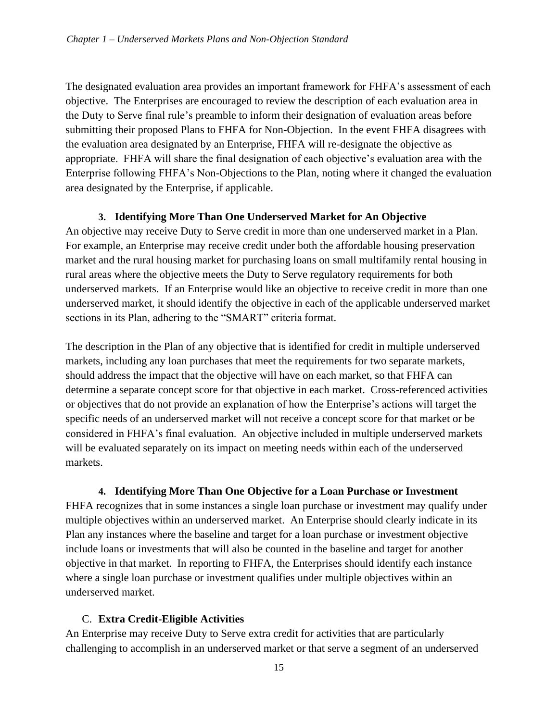The designated evaluation area provides an important framework for FHFA's assessment of each objective. The Enterprises are encouraged to review the description of each evaluation area in the Duty to Serve final rule's preamble to inform their designation of evaluation areas before submitting their proposed Plans to FHFA for Non-Objection. In the event FHFA disagrees with the evaluation area designated by an Enterprise, FHFA will re-designate the objective as appropriate. FHFA will share the final designation of each objective's evaluation area with the Enterprise following FHFA's Non-Objections to the Plan, noting where it changed the evaluation area designated by the Enterprise, if applicable.

#### **3. Identifying More Than One Underserved Market for An Objective**

An objective may receive Duty to Serve credit in more than one underserved market in a Plan. For example, an Enterprise may receive credit under both the affordable housing preservation market and the rural housing market for purchasing loans on small multifamily rental housing in rural areas where the objective meets the Duty to Serve regulatory requirements for both underserved markets. If an Enterprise would like an objective to receive credit in more than one underserved market, it should identify the objective in each of the applicable underserved market sections in its Plan, adhering to the "SMART" criteria format.

The description in the Plan of any objective that is identified for credit in multiple underserved markets, including any loan purchases that meet the requirements for two separate markets, should address the impact that the objective will have on each market, so that FHFA can determine a separate concept score for that objective in each market. Cross-referenced activities or objectives that do not provide an explanation of how the Enterprise's actions will target the specific needs of an underserved market will not receive a concept score for that market or be considered in FHFA's final evaluation. An objective included in multiple underserved markets will be evaluated separately on its impact on meeting needs within each of the underserved markets.

#### **4. Identifying More Than One Objective for a Loan Purchase or Investment**

FHFA recognizes that in some instances a single loan purchase or investment may qualify under multiple objectives within an underserved market. An Enterprise should clearly indicate in its Plan any instances where the baseline and target for a loan purchase or investment objective include loans or investments that will also be counted in the baseline and target for another objective in that market. In reporting to FHFA, the Enterprises should identify each instance where a single loan purchase or investment qualifies under multiple objectives within an underserved market.

#### C. **Extra Credit-Eligible Activities**

An Enterprise may receive Duty to Serve extra credit for activities that are particularly challenging to accomplish in an underserved market or that serve a segment of an underserved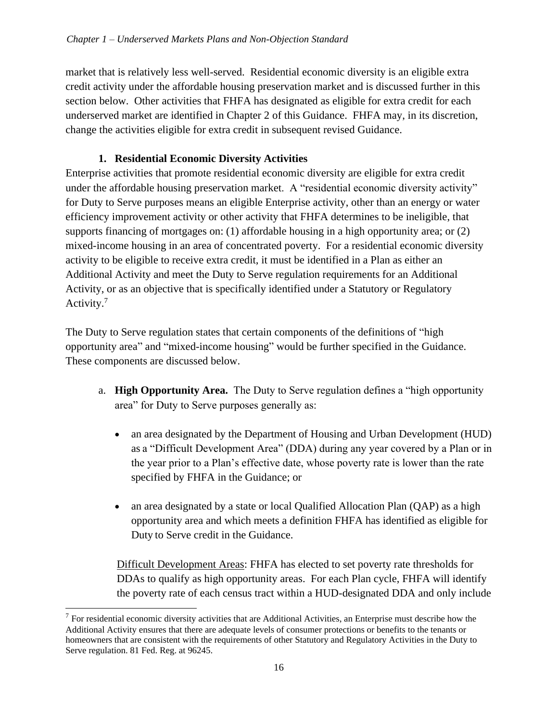market that is relatively less well-served. Residential economic diversity is an eligible extra credit activity under the affordable housing preservation market and is discussed further in this section below. Other activities that FHFA has designated as eligible for extra credit for each underserved market are identified in Chapter 2 of this Guidance. FHFA may, in its discretion, change the activities eligible for extra credit in subsequent revised Guidance.

#### **1. Residential Economic Diversity Activities**

Enterprise activities that promote residential economic diversity are eligible for extra credit under the affordable housing preservation market. A "residential economic diversity activity" for Duty to Serve purposes means an eligible Enterprise activity, other than an energy or water efficiency improvement activity or other activity that FHFA determines to be ineligible, that supports financing of mortgages on: (1) affordable housing in a high opportunity area; or (2) mixed-income housing in an area of concentrated poverty. For a residential economic diversity activity to be eligible to receive extra credit, it must be identified in a Plan as either an Additional Activity and meet the Duty to Serve regulation requirements for an Additional Activity, or as an objective that is specifically identified under a Statutory or Regulatory Activity.<sup>7</sup>

The Duty to Serve regulation states that certain components of the definitions of "high opportunity area" and "mixed-income housing" would be further specified in the Guidance. These components are discussed below.

- a. **High Opportunity Area.** The Duty to Serve regulation defines a "high opportunity area" for Duty to Serve purposes generally as:
	- an area designated by the Department of Housing and Urban Development (HUD) as a "Difficult Development Area" (DDA) during any year covered by a Plan or in the year prior to a Plan's effective date, whose poverty rate is lower than the rate specified by FHFA in the Guidance; or
	- an area designated by a state or local Qualified Allocation Plan (QAP) as a high opportunity area and which meets a definition FHFA has identified as eligible for Duty to Serve credit in the Guidance.

Difficult Development Areas: FHFA has elected to set poverty rate thresholds for DDAs to qualify as high opportunity areas. For each Plan cycle, FHFA will identify the poverty rate of each census tract within a HUD-designated DDA and only include

 $<sup>7</sup>$  For residential economic diversity activities that are Additional Activities, an Enterprise must describe how the</sup> Additional Activity ensures that there are adequate levels of consumer protections or benefits to the tenants or homeowners that are consistent with the requirements of other Statutory and Regulatory Activities in the Duty to Serve regulation. 81 Fed. Reg. at 96245.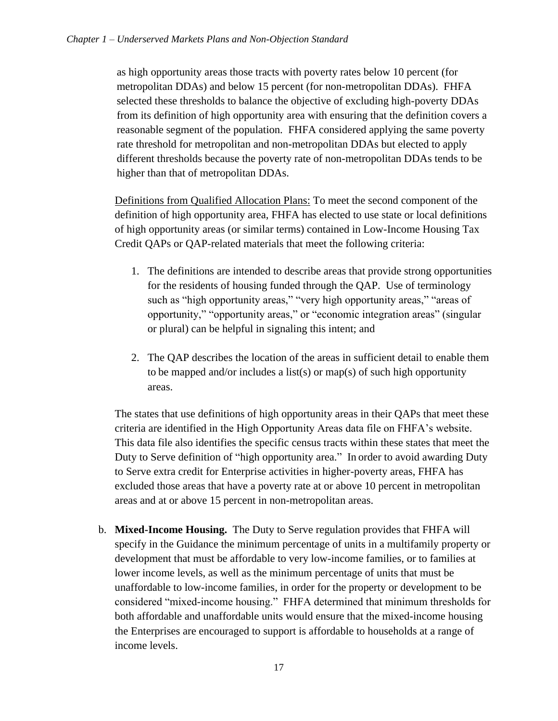as high opportunity areas those tracts with poverty rates below 10 percent (for metropolitan DDAs) and below 15 percent (for non-metropolitan DDAs). FHFA selected these thresholds to balance the objective of excluding high-poverty DDAs from its definition of high opportunity area with ensuring that the definition covers a reasonable segment of the population. FHFA considered applying the same poverty rate threshold for metropolitan and non-metropolitan DDAs but elected to apply different thresholds because the poverty rate of non-metropolitan DDAs tends to be higher than that of metropolitan DDAs.

Definitions from Qualified Allocation Plans: To meet the second component of the definition of high opportunity area, FHFA has elected to use state or local definitions of high opportunity areas (or similar terms) contained in Low-Income Housing Tax Credit QAPs or QAP-related materials that meet the following criteria:

- 1. The definitions are intended to describe areas that provide strong opportunities for the residents of housing funded through the QAP. Use of terminology such as "high opportunity areas," "very high opportunity areas," "areas of opportunity," "opportunity areas," or "economic integration areas" (singular or plural) can be helpful in signaling this intent; and
- 2. The QAP describes the location of the areas in sufficient detail to enable them to be mapped and/or includes a list(s) or map(s) of such high opportunity areas.

The states that use definitions of high opportunity areas in their QAPs that meet these criteria are identified in the High Opportunity Areas data file on FHFA's website. This data file also identifies the specific census tracts within these states that meet the Duty to Serve definition of "high opportunity area." In order to avoid awarding Duty to Serve extra credit for Enterprise activities in higher-poverty areas, FHFA has excluded those areas that have a poverty rate at or above 10 percent in metropolitan areas and at or above 15 percent in non-metropolitan areas.

b. **Mixed-Income Housing.** The Duty to Serve regulation provides that FHFA will specify in the Guidance the minimum percentage of units in a multifamily property or development that must be affordable to very low-income families, or to families at lower income levels, as well as the minimum percentage of units that must be unaffordable to low-income families, in order for the property or development to be considered "mixed-income housing." FHFA determined that minimum thresholds for both affordable and unaffordable units would ensure that the mixed-income housing the Enterprises are encouraged to support is affordable to households at a range of income levels.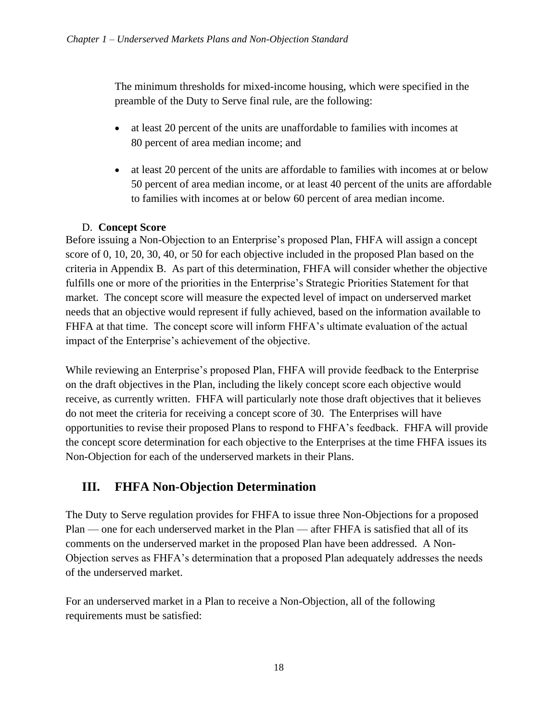The minimum thresholds for mixed-income housing, which were specified in the preamble of the Duty to Serve final rule, are the following:

- at least 20 percent of the units are unaffordable to families with incomes at 80 percent of area median income; and
- at least 20 percent of the units are affordable to families with incomes at or below 50 percent of area median income, or at least 40 percent of the units are affordable to families with incomes at or below 60 percent of area median income.

#### D. **Concept Score**

Before issuing a Non-Objection to an Enterprise's proposed Plan, FHFA will assign a concept score of 0, 10, 20, 30, 40, or 50 for each objective included in the proposed Plan based on the criteria in Appendix B. As part of this determination, FHFA will consider whether the objective fulfills one or more of the priorities in the Enterprise's Strategic Priorities Statement for that market. The concept score will measure the expected level of impact on underserved market needs that an objective would represent if fully achieved, based on the information available to FHFA at that time. The concept score will inform FHFA's ultimate evaluation of the actual impact of the Enterprise's achievement of the objective.

While reviewing an Enterprise's proposed Plan, FHFA will provide feedback to the Enterprise on the draft objectives in the Plan, including the likely concept score each objective would receive, as currently written. FHFA will particularly note those draft objectives that it believes do not meet the criteria for receiving a concept score of 30. The Enterprises will have opportunities to revise their proposed Plans to respond to FHFA's feedback. FHFA will provide the concept score determination for each objective to the Enterprises at the time FHFA issues its Non-Objection for each of the underserved markets in their Plans.

## <span id="page-19-0"></span>**III. FHFA Non-Objection Determination**

The Duty to Serve regulation provides for FHFA to issue three Non-Objections for a proposed Plan — one for each underserved market in the Plan — after FHFA is satisfied that all of its comments on the underserved market in the proposed Plan have been addressed. A Non-Objection serves as FHFA's determination that a proposed Plan adequately addresses the needs of the underserved market.

For an underserved market in a Plan to receive a Non-Objection, all of the following requirements must be satisfied: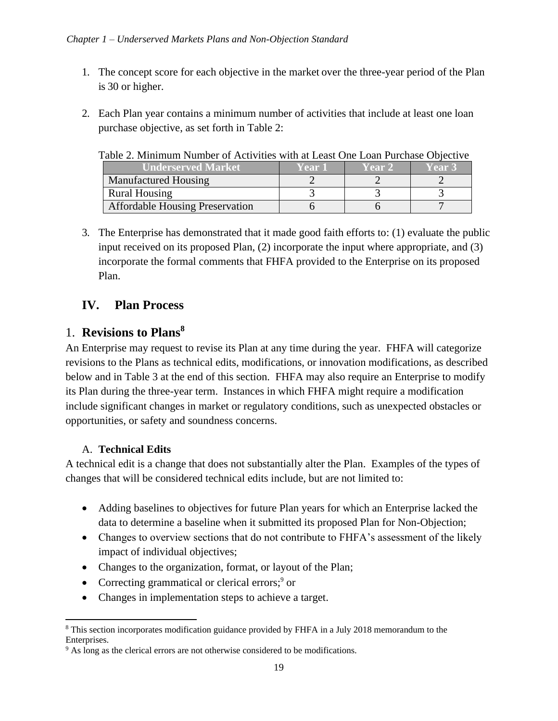- 1. The concept score for each objective in the market over the three-year period of the Plan is 30 or higher.
- 2. Each Plan year contains a minimum number of activities that include at least one loan purchase objective, as set forth in Table 2:

Table 2. Minimum Number of Activities with at Least One Loan Purchase Objective

| <b>Underserved Market</b>              | Year 1 | Year 2 | Year 3 |
|----------------------------------------|--------|--------|--------|
| Manufactured Housing                   |        |        |        |
| <b>Rural Housing</b>                   |        |        |        |
| <b>Affordable Housing Preservation</b> |        |        |        |

3. The Enterprise has demonstrated that it made good faith efforts to: (1) evaluate the public input received on its proposed Plan, (2) incorporate the input where appropriate, and (3) incorporate the formal comments that FHFA provided to the Enterprise on its proposed Plan.

## <span id="page-20-0"></span>**IV. Plan Process**

### 1. **Revisions to Plans<sup>8</sup>**

An Enterprise may request to revise its Plan at any time during the year. FHFA will categorize revisions to the Plans as technical edits, modifications, or innovation modifications, as described below and in Table 3 at the end of this section. FHFA may also require an Enterprise to modify its Plan during the three-year term. Instances in which FHFA might require a modification include significant changes in market or regulatory conditions, such as unexpected obstacles or opportunities, or safety and soundness concerns.

#### A. **Technical Edits**

A technical edit is a change that does not substantially alter the Plan. Examples of the types of changes that will be considered technical edits include, but are not limited to:

- Adding baselines to objectives for future Plan years for which an Enterprise lacked the data to determine a baseline when it submitted its proposed Plan for Non-Objection;
- Changes to overview sections that do not contribute to FHFA's assessment of the likely impact of individual objectives;
- Changes to the organization, format, or layout of the Plan;
- Correcting grammatical or clerical errors; $9$  or
- Changes in implementation steps to achieve a target.

<sup>&</sup>lt;sup>8</sup> This section incorporates modification guidance provided by FHFA in a July 2018 memorandum to the Enterprises.

<sup>&</sup>lt;sup>9</sup> As long as the clerical errors are not otherwise considered to be modifications.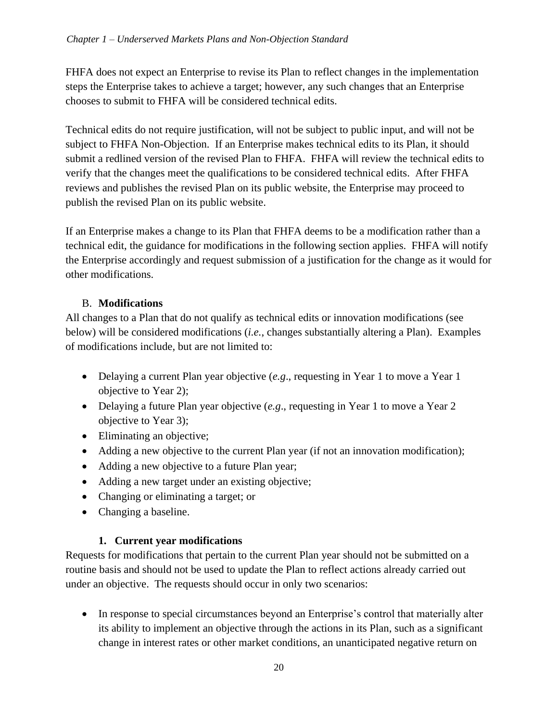FHFA does not expect an Enterprise to revise its Plan to reflect changes in the implementation steps the Enterprise takes to achieve a target; however, any such changes that an Enterprise chooses to submit to FHFA will be considered technical edits.

Technical edits do not require justification, will not be subject to public input, and will not be subject to FHFA Non-Objection. If an Enterprise makes technical edits to its Plan, it should submit a redlined version of the revised Plan to FHFA. FHFA will review the technical edits to verify that the changes meet the qualifications to be considered technical edits. After FHFA reviews and publishes the revised Plan on its public website, the Enterprise may proceed to publish the revised Plan on its public website.

If an Enterprise makes a change to its Plan that FHFA deems to be a modification rather than a technical edit, the guidance for modifications in the following section applies. FHFA will notify the Enterprise accordingly and request submission of a justification for the change as it would for other modifications.

#### B. **Modifications**

All changes to a Plan that do not qualify as technical edits or innovation modifications (see below) will be considered modifications (*i.e.*, changes substantially altering a Plan). Examples of modifications include, but are not limited to:

- Delaying a current Plan year objective (*e.g.*, requesting in Year 1 to move a Year 1 objective to Year 2);
- Delaying a future Plan year objective (*e.g.*, requesting in Year 1 to move a Year 2 objective to Year 3);
- Eliminating an objective;
- Adding a new objective to the current Plan year (if not an innovation modification);
- Adding a new objective to a future Plan year;
- Adding a new target under an existing objective;
- Changing or eliminating a target; or
- Changing a baseline.

#### **1. Current year modifications**

Requests for modifications that pertain to the current Plan year should not be submitted on a routine basis and should not be used to update the Plan to reflect actions already carried out under an objective. The requests should occur in only two scenarios:

• In response to special circumstances beyond an Enterprise's control that materially alter its ability to implement an objective through the actions in its Plan, such as a significant change in interest rates or other market conditions, an unanticipated negative return on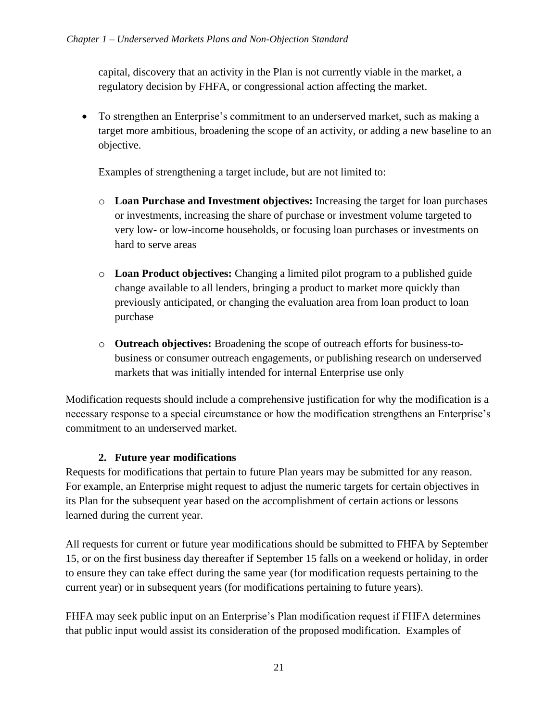capital, discovery that an activity in the Plan is not currently viable in the market, a regulatory decision by FHFA, or congressional action affecting the market.

• To strengthen an Enterprise's commitment to an underserved market, such as making a target more ambitious, broadening the scope of an activity, or adding a new baseline to an objective.

Examples of strengthening a target include, but are not limited to:

- o **Loan Purchase and Investment objectives:** Increasing the target for loan purchases or investments, increasing the share of purchase or investment volume targeted to very low- or low-income households, or focusing loan purchases or investments on hard to serve areas
- o **Loan Product objectives:** Changing a limited pilot program to a published guide change available to all lenders, bringing a product to market more quickly than previously anticipated, or changing the evaluation area from loan product to loan purchase
- o **Outreach objectives:** Broadening the scope of outreach efforts for business-tobusiness or consumer outreach engagements, or publishing research on underserved markets that was initially intended for internal Enterprise use only

Modification requests should include a comprehensive justification for why the modification is a necessary response to a special circumstance or how the modification strengthens an Enterprise's commitment to an underserved market.

#### **2. Future year modifications**

Requests for modifications that pertain to future Plan years may be submitted for any reason. For example, an Enterprise might request to adjust the numeric targets for certain objectives in its Plan for the subsequent year based on the accomplishment of certain actions or lessons learned during the current year.

All requests for current or future year modifications should be submitted to FHFA by September 15, or on the first business day thereafter if September 15 falls on a weekend or holiday, in order to ensure they can take effect during the same year (for modification requests pertaining to the current year) or in subsequent years (for modifications pertaining to future years).

FHFA may seek public input on an Enterprise's Plan modification request if FHFA determines that public input would assist its consideration of the proposed modification. Examples of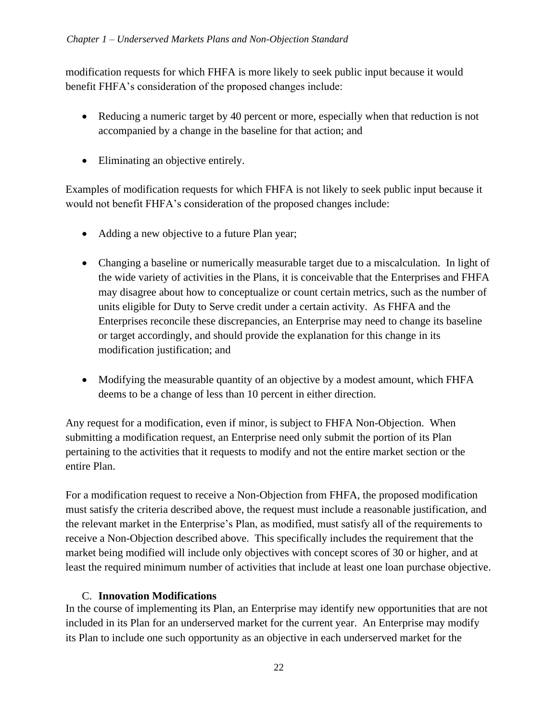modification requests for which FHFA is more likely to seek public input because it would benefit FHFA's consideration of the proposed changes include:

- Reducing a numeric target by 40 percent or more, especially when that reduction is not accompanied by a change in the baseline for that action; and
- Eliminating an objective entirely.

Examples of modification requests for which FHFA is not likely to seek public input because it would not benefit FHFA's consideration of the proposed changes include:

- Adding a new objective to a future Plan year;
- Changing a baseline or numerically measurable target due to a miscalculation. In light of the wide variety of activities in the Plans, it is conceivable that the Enterprises and FHFA may disagree about how to conceptualize or count certain metrics, such as the number of units eligible for Duty to Serve credit under a certain activity. As FHFA and the Enterprises reconcile these discrepancies, an Enterprise may need to change its baseline or target accordingly, and should provide the explanation for this change in its modification justification; and
- Modifying the measurable quantity of an objective by a modest amount, which FHFA deems to be a change of less than 10 percent in either direction.

Any request for a modification, even if minor, is subject to FHFA Non-Objection. When submitting a modification request, an Enterprise need only submit the portion of its Plan pertaining to the activities that it requests to modify and not the entire market section or the entire Plan.

For a modification request to receive a Non-Objection from FHFA, the proposed modification must satisfy the criteria described above, the request must include a reasonable justification, and the relevant market in the Enterprise's Plan, as modified, must satisfy all of the requirements to receive a Non-Objection described above. This specifically includes the requirement that the market being modified will include only objectives with concept scores of 30 or higher, and at least the required minimum number of activities that include at least one loan purchase objective.

#### C. **Innovation Modifications**

In the course of implementing its Plan, an Enterprise may identify new opportunities that are not included in its Plan for an underserved market for the current year. An Enterprise may modify its Plan to include one such opportunity as an objective in each underserved market for the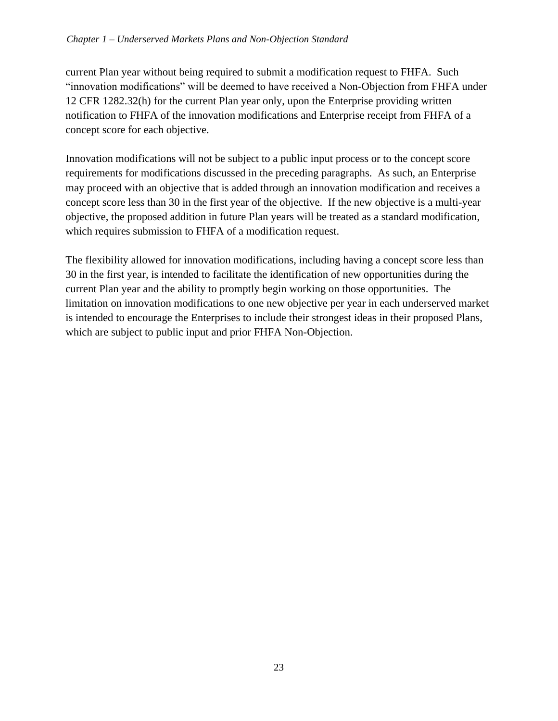#### *Chapter 1 – Underserved Markets Plans and Non-Objection Standard*

current Plan year without being required to submit a modification request to FHFA. Such "innovation modifications" will be deemed to have received a Non-Objection from FHFA under 12 CFR 1282.32(h) for the current Plan year only, upon the Enterprise providing written notification to FHFA of the innovation modifications and Enterprise receipt from FHFA of a concept score for each objective.

Innovation modifications will not be subject to a public input process or to the concept score requirements for modifications discussed in the preceding paragraphs. As such, an Enterprise may proceed with an objective that is added through an innovation modification and receives a concept score less than 30 in the first year of the objective. If the new objective is a multi-year objective, the proposed addition in future Plan years will be treated as a standard modification, which requires submission to FHFA of a modification request.

The flexibility allowed for innovation modifications, including having a concept score less than 30 in the first year, is intended to facilitate the identification of new opportunities during the current Plan year and the ability to promptly begin working on those opportunities. The limitation on innovation modifications to one new objective per year in each underserved market is intended to encourage the Enterprises to include their strongest ideas in their proposed Plans, which are subject to public input and prior FHFA Non-Objection.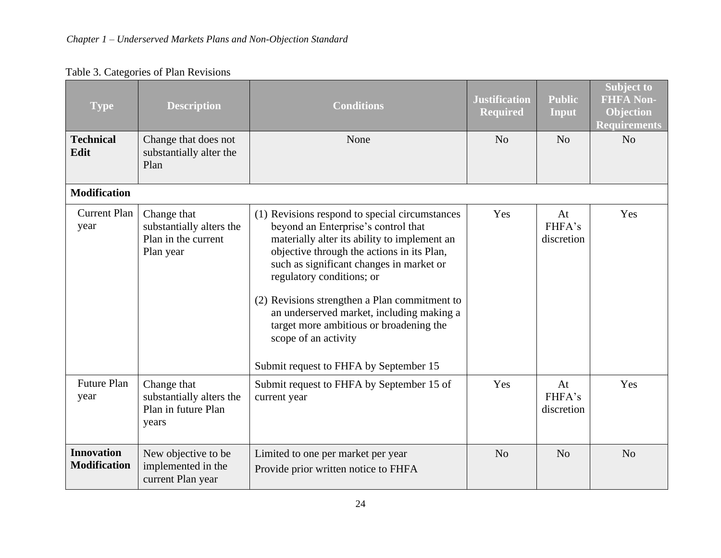| <b>Type</b>                              | <b>Description</b>                                                          | <b>Conditions</b>                                                                                                                                                                                                                                                                                                                                                                                                                                                       | <b>Justification</b><br><b>Required</b> | <b>Public</b><br>Input     | <b>Subject to</b><br><b>FHFA Non-</b><br><b>Objection</b><br><b>Requirements</b> |
|------------------------------------------|-----------------------------------------------------------------------------|-------------------------------------------------------------------------------------------------------------------------------------------------------------------------------------------------------------------------------------------------------------------------------------------------------------------------------------------------------------------------------------------------------------------------------------------------------------------------|-----------------------------------------|----------------------------|----------------------------------------------------------------------------------|
| <b>Technical</b><br>Edit                 | Change that does not<br>substantially alter the<br>Plan                     | None                                                                                                                                                                                                                                                                                                                                                                                                                                                                    | N <sub>o</sub>                          | N <sub>o</sub>             | N <sub>o</sub>                                                                   |
| <b>Modification</b>                      |                                                                             |                                                                                                                                                                                                                                                                                                                                                                                                                                                                         |                                         |                            |                                                                                  |
| <b>Current Plan</b><br>year              | Change that<br>substantially alters the<br>Plan in the current<br>Plan year | (1) Revisions respond to special circumstances<br>beyond an Enterprise's control that<br>materially alter its ability to implement an<br>objective through the actions in its Plan,<br>such as significant changes in market or<br>regulatory conditions; or<br>(2) Revisions strengthen a Plan commitment to<br>an underserved market, including making a<br>target more ambitious or broadening the<br>scope of an activity<br>Submit request to FHFA by September 15 | Yes                                     | At<br>FHFA's<br>discretion | Yes                                                                              |
| <b>Future Plan</b><br>year               | Change that<br>substantially alters the<br>Plan in future Plan<br>years     | Submit request to FHFA by September 15 of<br>current year                                                                                                                                                                                                                                                                                                                                                                                                               | Yes                                     | At<br>FHFA's<br>discretion | Yes                                                                              |
| <b>Innovation</b><br><b>Modification</b> | New objective to be<br>implemented in the<br>current Plan year              | Limited to one per market per year<br>Provide prior written notice to FHFA                                                                                                                                                                                                                                                                                                                                                                                              | N <sub>o</sub>                          | N <sub>o</sub>             | N <sub>o</sub>                                                                   |

## Table 3. Categories of Plan Revisions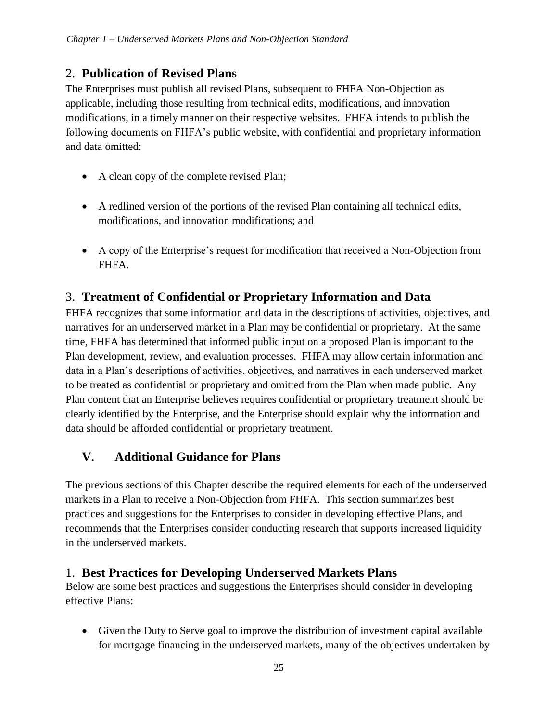## 2. **Publication of Revised Plans**

The Enterprises must publish all revised Plans, subsequent to FHFA Non-Objection as applicable, including those resulting from technical edits, modifications, and innovation modifications, in a timely manner on their respective websites. FHFA intends to publish the following documents on FHFA's public website, with confidential and proprietary information and data omitted:

- A clean copy of the complete revised Plan;
- A redlined version of the portions of the revised Plan containing all technical edits, modifications, and innovation modifications; and
- A copy of the Enterprise's request for modification that received a Non-Objection from FHFA.

## 3. **Treatment of Confidential or Proprietary Information and Data**

FHFA recognizes that some information and data in the descriptions of activities, objectives, and narratives for an underserved market in a Plan may be confidential or proprietary. At the same time, FHFA has determined that informed public input on a proposed Plan is important to the Plan development, review, and evaluation processes. FHFA may allow certain information and data in a Plan's descriptions of activities, objectives, and narratives in each underserved market to be treated as confidential or proprietary and omitted from the Plan when made public. Any Plan content that an Enterprise believes requires confidential or proprietary treatment should be clearly identified by the Enterprise, and the Enterprise should explain why the information and data should be afforded confidential or proprietary treatment.

## <span id="page-26-0"></span>**V. Additional Guidance for Plans**

The previous sections of this Chapter describe the required elements for each of the underserved markets in a Plan to receive a Non-Objection from FHFA. This section summarizes best practices and suggestions for the Enterprises to consider in developing effective Plans, and recommends that the Enterprises consider conducting research that supports increased liquidity in the underserved markets.

## 1. **Best Practices for Developing Underserved Markets Plans**

Below are some best practices and suggestions the Enterprises should consider in developing effective Plans:

• Given the Duty to Serve goal to improve the distribution of investment capital available for mortgage financing in the underserved markets, many of the objectives undertaken by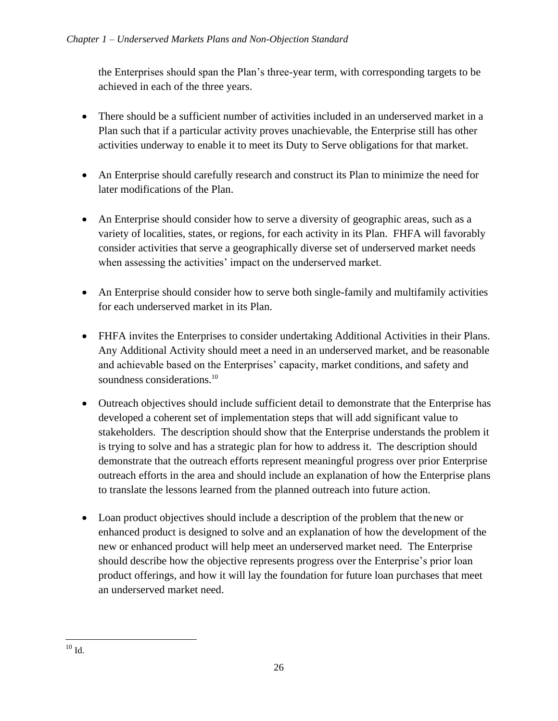the Enterprises should span the Plan's three-year term, with corresponding targets to be achieved in each of the three years.

- There should be a sufficient number of activities included in an underserved market in a Plan such that if a particular activity proves unachievable, the Enterprise still has other activities underway to enable it to meet its Duty to Serve obligations for that market.
- An Enterprise should carefully research and construct its Plan to minimize the need for later modifications of the Plan.
- An Enterprise should consider how to serve a diversity of geographic areas, such as a variety of localities, states, or regions, for each activity in its Plan. FHFA will favorably consider activities that serve a geographically diverse set of underserved market needs when assessing the activities' impact on the underserved market.
- An Enterprise should consider how to serve both single-family and multifamily activities for each underserved market in its Plan.
- FHFA invites the Enterprises to consider undertaking Additional Activities in their Plans. Any Additional Activity should meet a need in an underserved market, and be reasonable and achievable based on the Enterprises' capacity, market conditions, and safety and soundness considerations.<sup>10</sup>
- Outreach objectives should include sufficient detail to demonstrate that the Enterprise has developed a coherent set of implementation steps that will add significant value to stakeholders. The description should show that the Enterprise understands the problem it is trying to solve and has a strategic plan for how to address it. The description should demonstrate that the outreach efforts represent meaningful progress over prior Enterprise outreach efforts in the area and should include an explanation of how the Enterprise plans to translate the lessons learned from the planned outreach into future action.
- Loan product objectives should include a description of the problem that the new or enhanced product is designed to solve and an explanation of how the development of the new or enhanced product will help meet an underserved market need. The Enterprise should describe how the objective represents progress over the Enterprise's prior loan product offerings, and how it will lay the foundation for future loan purchases that meet an underserved market need.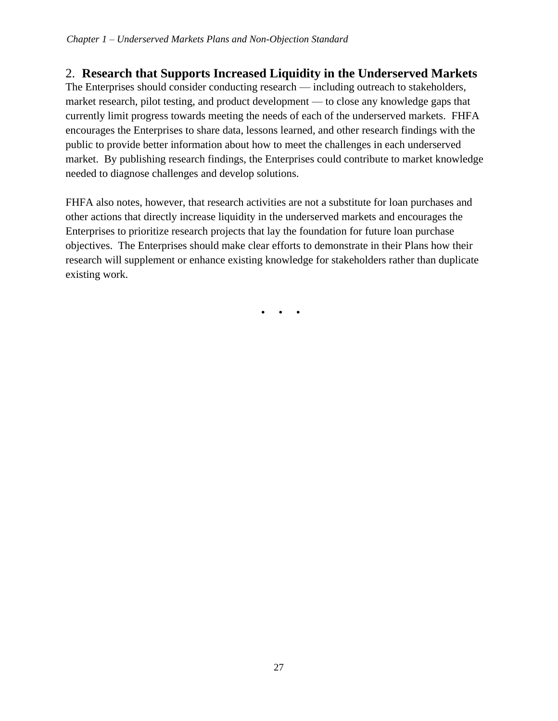## 2. **Research that Supports Increased Liquidity in the Underserved Markets**

The Enterprises should consider conducting research — including outreach to stakeholders, market research, pilot testing, and product development — to close any knowledge gaps that currently limit progress towards meeting the needs of each of the underserved markets. FHFA encourages the Enterprises to share data, lessons learned, and other research findings with the public to provide better information about how to meet the challenges in each underserved market. By publishing research findings, the Enterprises could contribute to market knowledge needed to diagnose challenges and develop solutions.

FHFA also notes, however, that research activities are not a substitute for loan purchases and other actions that directly increase liquidity in the underserved markets and encourages the Enterprises to prioritize research projects that lay the foundation for future loan purchase objectives. The Enterprises should make clear efforts to demonstrate in their Plans how their research will supplement or enhance existing knowledge for stakeholders rather than duplicate existing work.

• • •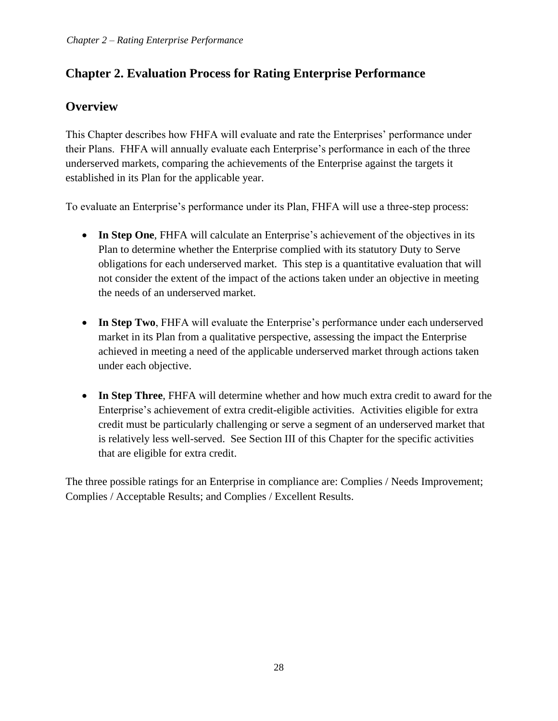## <span id="page-29-0"></span>**Chapter 2. Evaluation Process for Rating Enterprise Performance**

## **Overview**

This Chapter describes how FHFA will evaluate and rate the Enterprises' performance under their Plans. FHFA will annually evaluate each Enterprise's performance in each of the three underserved markets, comparing the achievements of the Enterprise against the targets it established in its Plan for the applicable year.

To evaluate an Enterprise's performance under its Plan, FHFA will use a three-step process:

- **In Step One**, FHFA will calculate an Enterprise's achievement of the objectives in its Plan to determine whether the Enterprise complied with its statutory Duty to Serve obligations for each underserved market. This step is a quantitative evaluation that will not consider the extent of the impact of the actions taken under an objective in meeting the needs of an underserved market.
- **In Step Two**, FHFA will evaluate the Enterprise's performance under each underserved market in its Plan from a qualitative perspective, assessing the impact the Enterprise achieved in meeting a need of the applicable underserved market through actions taken under each objective.
- **In Step Three**, FHFA will determine whether and how much extra credit to award for the Enterprise's achievement of extra credit-eligible activities. Activities eligible for extra credit must be particularly challenging or serve a segment of an underserved market that is relatively less well-served. See Section III of this Chapter for the specific activities that are eligible for extra credit.

The three possible ratings for an Enterprise in compliance are: Complies / Needs Improvement; Complies / Acceptable Results; and Complies / Excellent Results.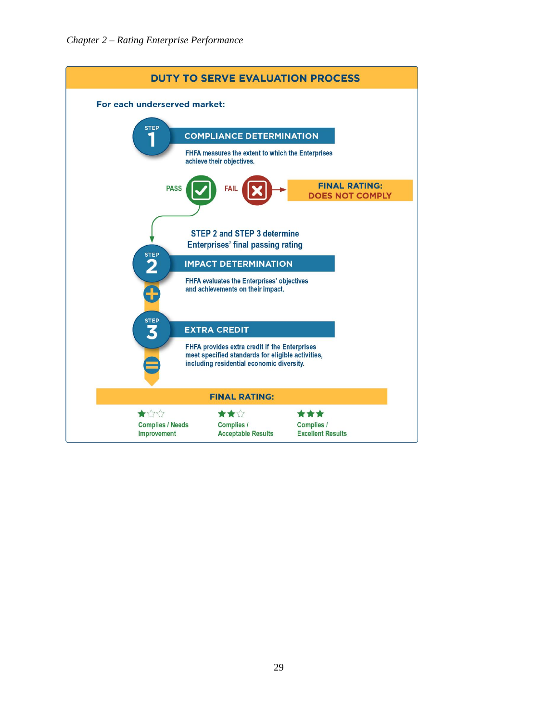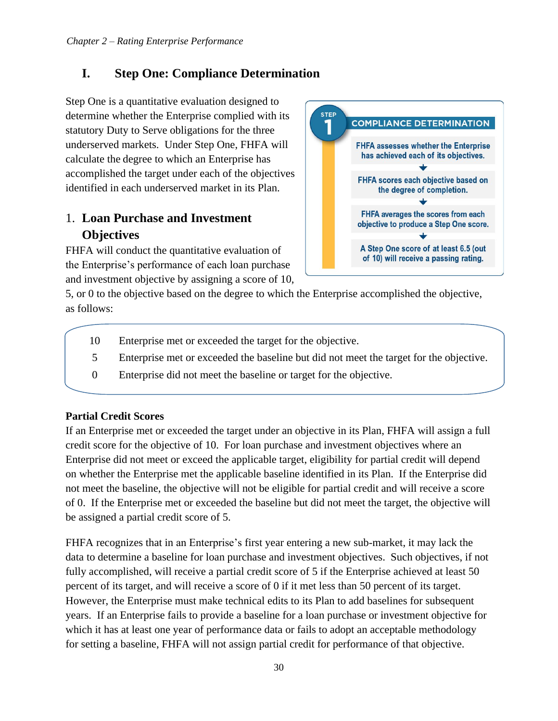## <span id="page-31-0"></span>**I. Step One: Compliance Determination**

Step One is a quantitative evaluation designed to determine whether the Enterprise complied with its statutory Duty to Serve obligations for the three underserved markets. Under Step One, FHFA will calculate the degree to which an Enterprise has accomplished the target under each of the objectives identified in each underserved market in its Plan.

## 1. **Loan Purchase and Investment Objectives**

FHFA will conduct the quantitative evaluation of the Enterprise's performance of each loan purchase and investment objective by assigning a score of 10,



5, or 0 to the objective based on the degree to which the Enterprise accomplished the objective, as follows:

- 10 Enterprise met or exceeded the target for the objective.
- 5 Enterprise met or exceeded the baseline but did not meet the target for the objective.
- 0 Enterprise did not meet the baseline or target for the objective.

#### **Partial Credit Scores**

If an Enterprise met or exceeded the target under an objective in its Plan, FHFA will assign a full credit score for the objective of 10. For loan purchase and investment objectives where an Enterprise did not meet or exceed the applicable target, eligibility for partial credit will depend on whether the Enterprise met the applicable baseline identified in its Plan. If the Enterprise did not meet the baseline, the objective will not be eligible for partial credit and will receive a score of 0. If the Enterprise met or exceeded the baseline but did not meet the target, the objective will be assigned a partial credit score of 5.

FHFA recognizes that in an Enterprise's first year entering a new sub-market, it may lack the data to determine a baseline for loan purchase and investment objectives. Such objectives, if not fully accomplished, will receive a partial credit score of 5 if the Enterprise achieved at least 50 percent of its target, and will receive a score of 0 if it met less than 50 percent of its target. However, the Enterprise must make technical edits to its Plan to add baselines for subsequent years. If an Enterprise fails to provide a baseline for a loan purchase or investment objective for which it has at least one year of performance data or fails to adopt an acceptable methodology for setting a baseline, FHFA will not assign partial credit for performance of that objective.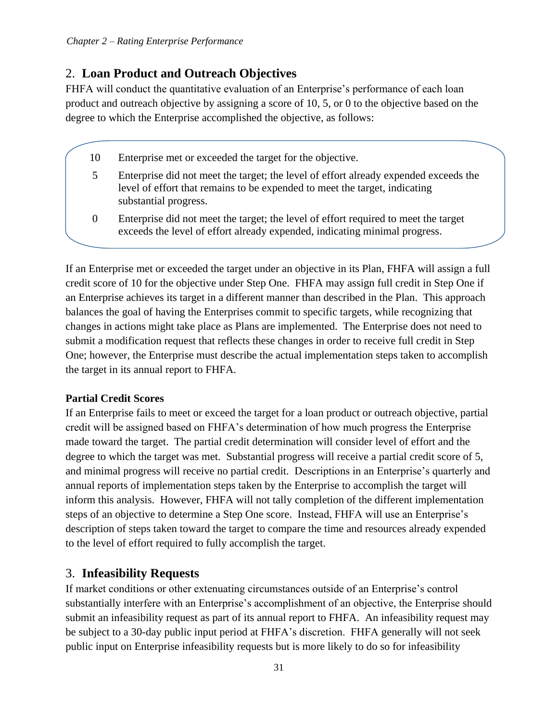## 2. **Loan Product and Outreach Objectives**

FHFA will conduct the quantitative evaluation of an Enterprise's performance of each loan product and outreach objective by assigning a score of 10, 5, or 0 to the objective based on the degree to which the Enterprise accomplished the objective, as follows:

- 10 Enterprise met or exceeded the target for the objective.
- 5 Enterprise did not meet the target; the level of effort already expended exceeds the level of effort that remains to be expended to meet the target, indicating substantial progress.
- 0 Enterprise did not meet the target; the level of effort required to meet the target exceeds the level of effort already expended, indicating minimal progress.

If an Enterprise met or exceeded the target under an objective in its Plan, FHFA will assign a full credit score of 10 for the objective under Step One. FHFA may assign full credit in Step One if an Enterprise achieves its target in a different manner than described in the Plan. This approach balances the goal of having the Enterprises commit to specific targets, while recognizing that changes in actions might take place as Plans are implemented. The Enterprise does not need to submit a modification request that reflects these changes in order to receive full credit in Step One; however, the Enterprise must describe the actual implementation steps taken to accomplish the target in its annual report to FHFA.

#### **Partial Credit Scores**

If an Enterprise fails to meet or exceed the target for a loan product or outreach objective, partial credit will be assigned based on FHFA's determination of how much progress the Enterprise made toward the target. The partial credit determination will consider level of effort and the degree to which the target was met. Substantial progress will receive a partial credit score of 5, and minimal progress will receive no partial credit. Descriptions in an Enterprise's quarterly and annual reports of implementation steps taken by the Enterprise to accomplish the target will inform this analysis. However, FHFA will not tally completion of the different implementation steps of an objective to determine a Step One score. Instead, FHFA will use an Enterprise's description of steps taken toward the target to compare the time and resources already expended to the level of effort required to fully accomplish the target.

## 3. **Infeasibility Requests**

If market conditions or other extenuating circumstances outside of an Enterprise's control substantially interfere with an Enterprise's accomplishment of an objective, the Enterprise should submit an infeasibility request as part of its annual report to FHFA. An infeasibility request may be subject to a 30-day public input period at FHFA's discretion. FHFA generally will not seek public input on Enterprise infeasibility requests but is more likely to do so for infeasibility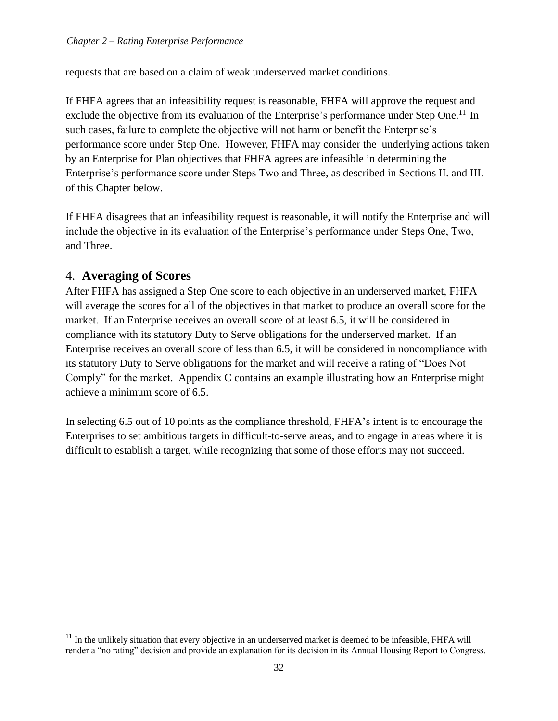requests that are based on a claim of weak underserved market conditions.

If FHFA agrees that an infeasibility request is reasonable, FHFA will approve the request and exclude the objective from its evaluation of the Enterprise's performance under Step One.<sup>11</sup> In such cases, failure to complete the objective will not harm or benefit the Enterprise's performance score under Step One. However, FHFA may consider the underlying actions taken by an Enterprise for Plan objectives that FHFA agrees are infeasible in determining the Enterprise's performance score under Steps Two and Three, as described in Sections II. and III. of this Chapter below.

If FHFA disagrees that an infeasibility request is reasonable, it will notify the Enterprise and will include the objective in its evaluation of the Enterprise's performance under Steps One, Two, and Three.

#### 4. **Averaging of Scores**

After FHFA has assigned a Step One score to each objective in an underserved market, FHFA will average the scores for all of the objectives in that market to produce an overall score for the market. If an Enterprise receives an overall score of at least 6.5, it will be considered in compliance with its statutory Duty to Serve obligations for the underserved market. If an Enterprise receives an overall score of less than 6.5, it will be considered in noncompliance with its statutory Duty to Serve obligations for the market and will receive a rating of "Does Not Comply" for the market. Appendix C contains an example illustrating how an Enterprise might achieve a minimum score of 6.5.

In selecting 6.5 out of 10 points as the compliance threshold, FHFA's intent is to encourage the Enterprises to set ambitious targets in difficult-to-serve areas, and to engage in areas where it is difficult to establish a target, while recognizing that some of those efforts may not succeed.

 $11$  In the unlikely situation that every objective in an underserved market is deemed to be infeasible, FHFA will render a "no rating" decision and provide an explanation for its decision in its Annual Housing Report to Congress.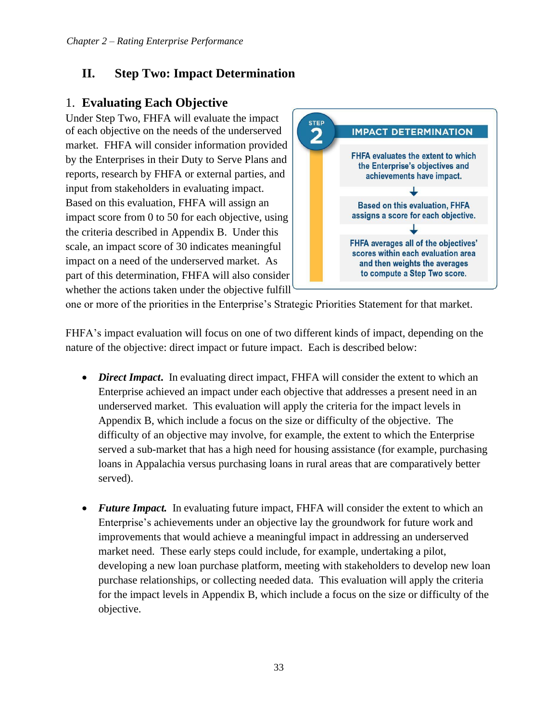## <span id="page-34-0"></span>**II. Step Two: Impact Determination**

## 1. **Evaluating Each Objective**

Under Step Two, FHFA will evaluate the impact of each objective on the needs of the underserved market. FHFA will consider information provided by the Enterprises in their Duty to Serve Plans and reports, research by FHFA or external parties, and input from stakeholders in evaluating impact. Based on this evaluation, FHFA will assign an impact score from 0 to 50 for each objective, using the criteria described in Appendix B. Under this scale, an impact score of 30 indicates meaningful impact on a need of the underserved market. As part of this determination, FHFA will also consider whether the actions taken under the objective fulfill



one or more of the priorities in the Enterprise's Strategic Priorities Statement for that market.

FHFA's impact evaluation will focus on one of two different kinds of impact, depending on the nature of the objective: direct impact or future impact. Each is described below:

- *Direct Impact*. In evaluating direct impact, FHFA will consider the extent to which an Enterprise achieved an impact under each objective that addresses a present need in an underserved market. This evaluation will apply the criteria for the impact levels in Appendix B, which include a focus on the size or difficulty of the objective. The difficulty of an objective may involve, for example, the extent to which the Enterprise served a sub-market that has a high need for housing assistance (for example, purchasing loans in Appalachia versus purchasing loans in rural areas that are comparatively better served).
- **Future Impact.** In evaluating future impact, FHFA will consider the extent to which an Enterprise's achievements under an objective lay the groundwork for future work and improvements that would achieve a meaningful impact in addressing an underserved market need. These early steps could include, for example, undertaking a pilot, developing a new loan purchase platform, meeting with stakeholders to develop new loan purchase relationships, or collecting needed data. This evaluation will apply the criteria for the impact levels in Appendix B, which include a focus on the size or difficulty of the objective.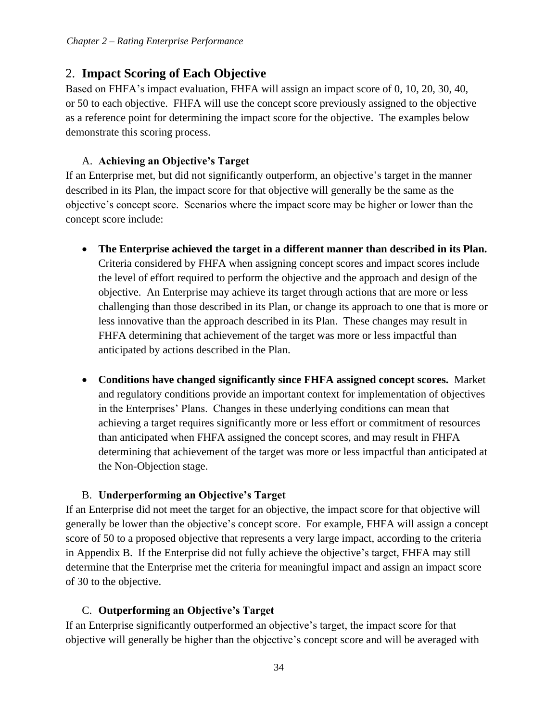## 2. **Impact Scoring of Each Objective**

Based on FHFA's impact evaluation, FHFA will assign an impact score of 0, 10, 20, 30, 40, or 50 to each objective. FHFA will use the concept score previously assigned to the objective as a reference point for determining the impact score for the objective. The examples below demonstrate this scoring process.

#### A. **Achieving an Objective's Target**

If an Enterprise met, but did not significantly outperform, an objective's target in the manner described in its Plan, the impact score for that objective will generally be the same as the objective's concept score. Scenarios where the impact score may be higher or lower than the concept score include:

- **The Enterprise achieved the target in a different manner than described in its Plan.**  Criteria considered by FHFA when assigning concept scores and impact scores include the level of effort required to perform the objective and the approach and design of the objective. An Enterprise may achieve its target through actions that are more or less challenging than those described in its Plan, or change its approach to one that is more or less innovative than the approach described in its Plan. These changes may result in FHFA determining that achievement of the target was more or less impactful than anticipated by actions described in the Plan.
- **Conditions have changed significantly since FHFA assigned concept scores.** Market and regulatory conditions provide an important context for implementation of objectives in the Enterprises' Plans. Changes in these underlying conditions can mean that achieving a target requires significantly more or less effort or commitment of resources than anticipated when FHFA assigned the concept scores, and may result in FHFA determining that achievement of the target was more or less impactful than anticipated at the Non-Objection stage.

#### B. **Underperforming an Objective's Target**

If an Enterprise did not meet the target for an objective, the impact score for that objective will generally be lower than the objective's concept score. For example, FHFA will assign a concept score of 50 to a proposed objective that represents a very large impact, according to the criteria in Appendix B. If the Enterprise did not fully achieve the objective's target, FHFA may still determine that the Enterprise met the criteria for meaningful impact and assign an impact score of 30 to the objective.

#### C. **Outperforming an Objective's Target**

If an Enterprise significantly outperformed an objective's target, the impact score for that objective will generally be higher than the objective's concept score and will be averaged with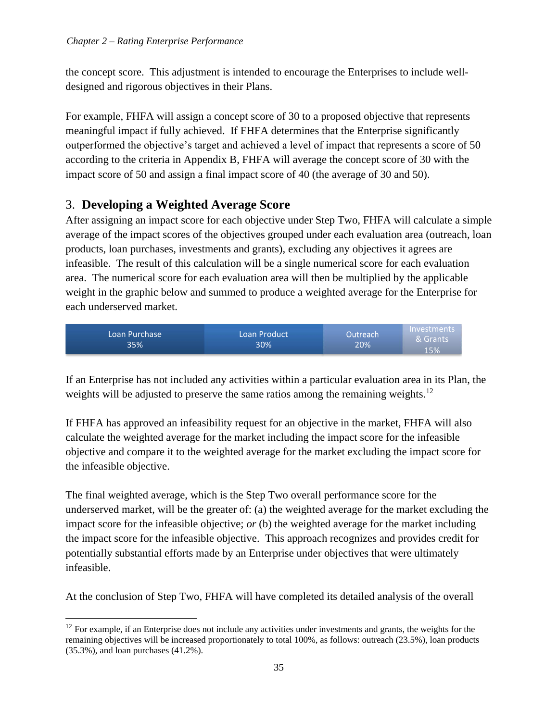the concept score. This adjustment is intended to encourage the Enterprises to include welldesigned and rigorous objectives in their Plans.

For example, FHFA will assign a concept score of 30 to a proposed objective that represents meaningful impact if fully achieved. If FHFA determines that the Enterprise significantly outperformed the objective's target and achieved a level of impact that represents a score of 50 according to the criteria in Appendix B, FHFA will average the concept score of 30 with the impact score of 50 and assign a final impact score of 40 (the average of 30 and 50).

## 3. **Developing a Weighted Average Score**

After assigning an impact score for each objective under Step Two, FHFA will calculate a simple average of the impact scores of the objectives grouped under each evaluation area (outreach, loan products, loan purchases, investments and grants), excluding any objectives it agrees are infeasible. The result of this calculation will be a single numerical score for each evaluation area. The numerical score for each evaluation area will then be multiplied by the applicable weight in the graphic below and summed to produce a weighted average for the Enterprise for each underserved market.



If an Enterprise has not included any activities within a particular evaluation area in its Plan, the weights will be adjusted to preserve the same ratios among the remaining weights.<sup>12</sup>

If FHFA has approved an infeasibility request for an objective in the market, FHFA will also calculate the weighted average for the market including the impact score for the infeasible objective and compare it to the weighted average for the market excluding the impact score for the infeasible objective.

The final weighted average, which is the Step Two overall performance score for the underserved market, will be the greater of: (a) the weighted average for the market excluding the impact score for the infeasible objective; *or* (b) the weighted average for the market including the impact score for the infeasible objective. This approach recognizes and provides credit for potentially substantial efforts made by an Enterprise under objectives that were ultimately infeasible.

At the conclusion of Step Two, FHFA will have completed its detailed analysis of the overall

 $12$  For example, if an Enterprise does not include any activities under investments and grants, the weights for the remaining objectives will be increased proportionately to total 100%, as follows: outreach (23.5%), loan products (35.3%), and loan purchases (41.2%).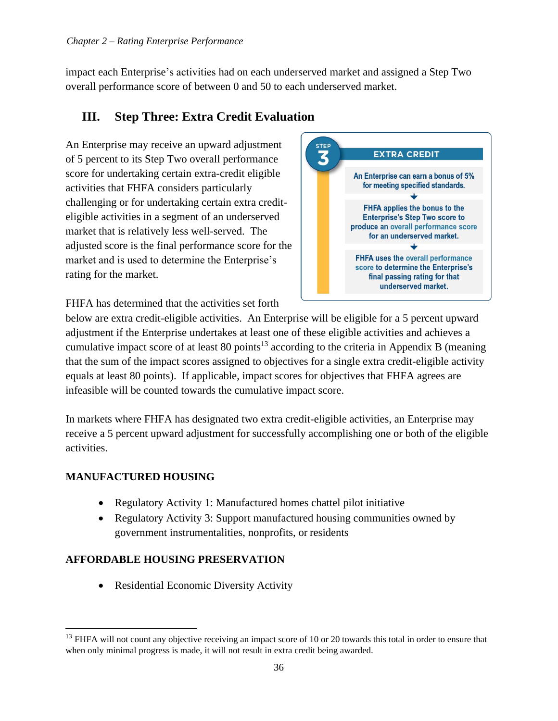impact each Enterprise's activities had on each underserved market and assigned a Step Two overall performance score of between 0 and 50 to each underserved market.

## <span id="page-37-0"></span>**III. Step Three: Extra Credit Evaluation**

An Enterprise may receive an upward adjustment of 5 percent to its Step Two overall performance score for undertaking certain extra-credit eligible activities that FHFA considers particularly challenging or for undertaking certain extra crediteligible activities in a segment of an underserved market that is relatively less well-served. The adjusted score is the final performance score for the market and is used to determine the Enterprise's rating for the market.



FHFA has determined that the activities set forth

below are extra credit-eligible activities. An Enterprise will be eligible for a 5 percent upward adjustment if the Enterprise undertakes at least one of these eligible activities and achieves a cumulative impact score of at least 80 points<sup>13</sup> according to the criteria in Appendix B (meaning that the sum of the impact scores assigned to objectives for a single extra credit-eligible activity equals at least 80 points). If applicable, impact scores for objectives that FHFA agrees are infeasible will be counted towards the cumulative impact score.

In markets where FHFA has designated two extra credit-eligible activities, an Enterprise may receive a 5 percent upward adjustment for successfully accomplishing one or both of the eligible activities.

## **MANUFACTURED HOUSING**

- Regulatory Activity 1: Manufactured homes chattel pilot initiative
- Regulatory Activity 3: Support manufactured housing communities owned by government instrumentalities, nonprofits, or residents

#### **AFFORDABLE HOUSING PRESERVATION**

• Residential Economic Diversity Activity

<sup>&</sup>lt;sup>13</sup> FHFA will not count any objective receiving an impact score of 10 or 20 towards this total in order to ensure that when only minimal progress is made, it will not result in extra credit being awarded.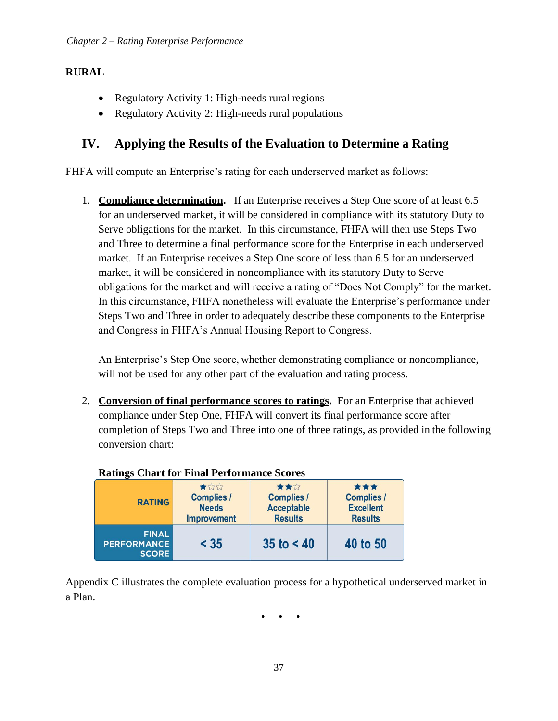#### **RURAL**

- Regulatory Activity 1: High-needs rural regions
- Regulatory Activity 2: High-needs rural populations

## <span id="page-38-0"></span>**IV. Applying the Results of the Evaluation to Determine a Rating**

FHFA will compute an Enterprise's rating for each underserved market as follows:

1. **Compliance determination.** If an Enterprise receives a Step One score of at least 6.5 for an underserved market, it will be considered in compliance with its statutory Duty to Serve obligations for the market. In this circumstance, FHFA will then use Steps Two and Three to determine a final performance score for the Enterprise in each underserved market. If an Enterprise receives a Step One score of less than 6.5 for an underserved market, it will be considered in noncompliance with its statutory Duty to Serve obligations for the market and will receive a rating of "Does Not Comply" for the market. In this circumstance, FHFA nonetheless will evaluate the Enterprise's performance under Steps Two and Three in order to adequately describe these components to the Enterprise and Congress in FHFA's Annual Housing Report to Congress.

An Enterprise's Step One score, whether demonstrating compliance or noncompliance, will not be used for any other part of the evaluation and rating process.

2. **Conversion of final performance scores to ratings.** For an Enterprise that achieved compliance under Step One, FHFA will convert its final performance score after completion of Steps Two and Three into one of three ratings, as provided in the following conversion chart:

| Ratings Chart for Final Performance Scores                                      |        |                                                                 |                                                                |  |  |  |
|---------------------------------------------------------------------------------|--------|-----------------------------------------------------------------|----------------------------------------------------------------|--|--|--|
| ★☆☆<br><b>Complies /</b><br><b>RATING</b><br><b>Needs</b><br><b>Improvement</b> |        | ★★☆<br><b>Complies /</b><br><b>Acceptable</b><br><b>Results</b> | ***<br><b>Complies /</b><br><b>Excellent</b><br><b>Results</b> |  |  |  |
| <b>FINAL</b><br><b>PERFORMANCE</b><br><b>SCORE</b>                              | $<$ 35 | 35 to $< 40$                                                    | 40 to 50                                                       |  |  |  |

 $\mathbf{C}$ **R F F F F C C** 

Appendix C illustrates the complete evaluation process for a hypothetical underserved market in a Plan.

• • •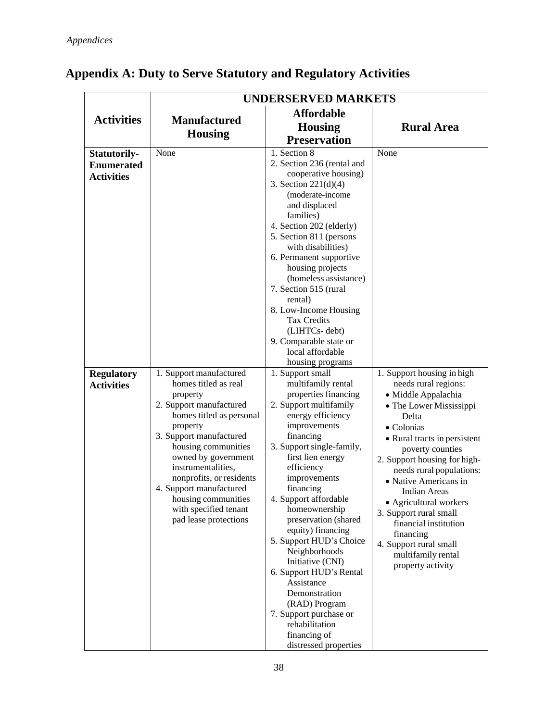|                                                                                                         | <b>UNDERSERVED MARKETS</b>                                                                                                                                                                                                                                                                                                                                            |                                                                                                                                                                                                                                                                                                                                                                                                                                                                                                                                                                                                                                                                                                                                                                                                                                                                                                                                                                                  |                                                                                                                                                                                                                                                                                                                                                                                                                                                                    |  |  |
|---------------------------------------------------------------------------------------------------------|-----------------------------------------------------------------------------------------------------------------------------------------------------------------------------------------------------------------------------------------------------------------------------------------------------------------------------------------------------------------------|----------------------------------------------------------------------------------------------------------------------------------------------------------------------------------------------------------------------------------------------------------------------------------------------------------------------------------------------------------------------------------------------------------------------------------------------------------------------------------------------------------------------------------------------------------------------------------------------------------------------------------------------------------------------------------------------------------------------------------------------------------------------------------------------------------------------------------------------------------------------------------------------------------------------------------------------------------------------------------|--------------------------------------------------------------------------------------------------------------------------------------------------------------------------------------------------------------------------------------------------------------------------------------------------------------------------------------------------------------------------------------------------------------------------------------------------------------------|--|--|
| <b>Activities</b>                                                                                       | <b>Manufactured</b><br><b>Housing</b>                                                                                                                                                                                                                                                                                                                                 | <b>Affordable</b><br><b>Housing</b><br><b>Preservation</b>                                                                                                                                                                                                                                                                                                                                                                                                                                                                                                                                                                                                                                                                                                                                                                                                                                                                                                                       | <b>Rural Area</b>                                                                                                                                                                                                                                                                                                                                                                                                                                                  |  |  |
| <b>Statutorily-</b><br><b>Enumerated</b><br><b>Activities</b><br><b>Regulatory</b><br><b>Activities</b> | None<br>1. Support manufactured<br>homes titled as real<br>property<br>2. Support manufactured<br>homes titled as personal<br>property<br>3. Support manufactured<br>housing communities<br>owned by government<br>instrumentalities,<br>nonprofits, or residents<br>4. Support manufactured<br>housing communities<br>with specified tenant<br>pad lease protections | 1. Section 8<br>2. Section 236 (rental and<br>cooperative housing)<br>3. Section $221(d)(4)$<br>(moderate-income<br>and displaced<br>families)<br>4. Section 202 (elderly)<br>5. Section 811 (persons<br>with disabilities)<br>6. Permanent supportive<br>housing projects<br>(homeless assistance)<br>7. Section 515 (rural<br>rental)<br>8. Low-Income Housing<br><b>Tax Credits</b><br>(LIHTCs-debt)<br>9. Comparable state or<br>local affordable<br>housing programs<br>1. Support small<br>multifamily rental<br>properties financing<br>2. Support multifamily<br>energy efficiency<br>improvements<br>financing<br>3. Support single-family,<br>first lien energy<br>efficiency<br>improvements<br>financing<br>4. Support affordable<br>homeownership<br>preservation (shared<br>equity) financing<br>5. Support HUD's Choice<br>Neighborhoods<br>Initiative (CNI)<br>6. Support HUD's Rental<br>Assistance<br>Demonstration<br>(RAD) Program<br>7. Support purchase or | None<br>1. Support housing in high<br>needs rural regions:<br>· Middle Appalachia<br>• The Lower Mississippi<br>Delta<br>• Colonias<br>• Rural tracts in persistent<br>poverty counties<br>2. Support housing for high-<br>needs rural populations:<br>• Native Americans in<br><b>Indian Areas</b><br>• Agricultural workers<br>3. Support rural small<br>financial institution<br>financing<br>4. Support rural small<br>multifamily rental<br>property activity |  |  |
|                                                                                                         |                                                                                                                                                                                                                                                                                                                                                                       | rehabilitation<br>financing of<br>distressed properties                                                                                                                                                                                                                                                                                                                                                                                                                                                                                                                                                                                                                                                                                                                                                                                                                                                                                                                          |                                                                                                                                                                                                                                                                                                                                                                                                                                                                    |  |  |

## <span id="page-39-0"></span>**Appendix A: Duty to Serve Statutory and Regulatory Activities**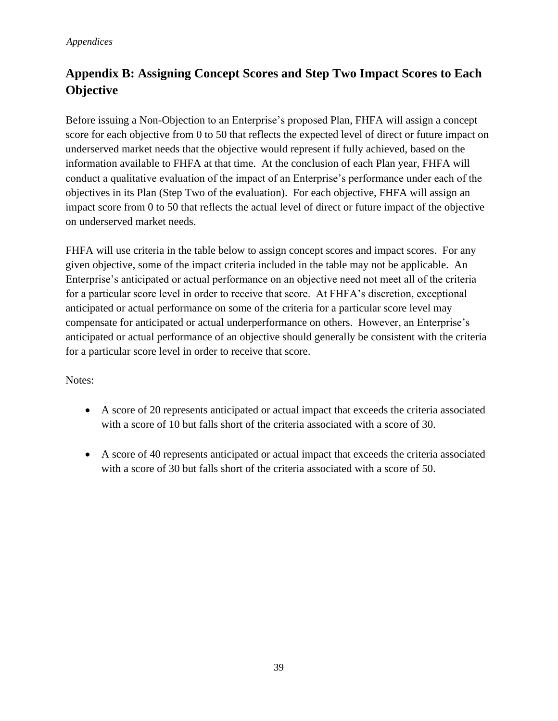## <span id="page-40-0"></span>**Appendix B: Assigning Concept Scores and Step Two Impact Scores to Each Objective**

Before issuing a Non-Objection to an Enterprise's proposed Plan, FHFA will assign a concept score for each objective from 0 to 50 that reflects the expected level of direct or future impact on underserved market needs that the objective would represent if fully achieved, based on the information available to FHFA at that time. At the conclusion of each Plan year, FHFA will conduct a qualitative evaluation of the impact of an Enterprise's performance under each of the objectives in its Plan (Step Two of the evaluation). For each objective, FHFA will assign an impact score from 0 to 50 that reflects the actual level of direct or future impact of the objective on underserved market needs.

FHFA will use criteria in the table below to assign concept scores and impact scores. For any given objective, some of the impact criteria included in the table may not be applicable. An Enterprise's anticipated or actual performance on an objective need not meet all of the criteria for a particular score level in order to receive that score. At FHFA's discretion, exceptional anticipated or actual performance on some of the criteria for a particular score level may compensate for anticipated or actual underperformance on others. However, an Enterprise's anticipated or actual performance of an objective should generally be consistent with the criteria for a particular score level in order to receive that score.

#### Notes:

- A score of 20 represents anticipated or actual impact that exceeds the criteria associated with a score of 10 but falls short of the criteria associated with a score of 30.
- A score of 40 represents anticipated or actual impact that exceeds the criteria associated with a score of 30 but falls short of the criteria associated with a score of 50.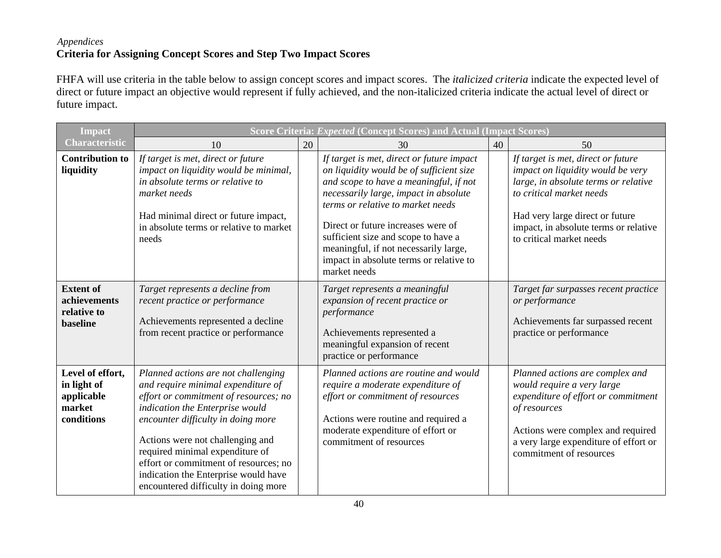#### *Appendices* **Criteria for Assigning Concept Scores and Step Two Impact Scores**

FHFA will use criteria in the table below to assign concept scores and impact scores. The *italicized criteria* indicate the expected level of direct or future impact an objective would represent if fully achieved, and the non-italicized criteria indicate the actual level of direct or future impact.

| <b>Impact</b>                                                         | Score Criteria: Expected (Concept Scores) and Actual (Impact Scores)                                                                                                                                                                                                                                                                                                                        |    |                                                                                                                                                                                                                                                                                                                                                                                                |    |                                                                                                                                                                                                                                                     |
|-----------------------------------------------------------------------|---------------------------------------------------------------------------------------------------------------------------------------------------------------------------------------------------------------------------------------------------------------------------------------------------------------------------------------------------------------------------------------------|----|------------------------------------------------------------------------------------------------------------------------------------------------------------------------------------------------------------------------------------------------------------------------------------------------------------------------------------------------------------------------------------------------|----|-----------------------------------------------------------------------------------------------------------------------------------------------------------------------------------------------------------------------------------------------------|
| <b>Characteristic</b>                                                 | 10                                                                                                                                                                                                                                                                                                                                                                                          | 20 | 30                                                                                                                                                                                                                                                                                                                                                                                             | 40 | 50                                                                                                                                                                                                                                                  |
| <b>Contribution to</b><br>liquidity                                   | If target is met, direct or future<br>impact on liquidity would be minimal,<br>in absolute terms or relative to<br>market needs<br>Had minimal direct or future impact,<br>in absolute terms or relative to market<br>needs                                                                                                                                                                 |    | If target is met, direct or future impact<br>on liquidity would be of sufficient size<br>and scope to have a meaningful, if not<br>necessarily large, impact in absolute<br>terms or relative to market needs<br>Direct or future increases were of<br>sufficient size and scope to have a<br>meaningful, if not necessarily large,<br>impact in absolute terms or relative to<br>market needs |    | If target is met, direct or future<br>impact on liquidity would be very<br>large, in absolute terms or relative<br>to critical market needs<br>Had very large direct or future<br>impact, in absolute terms or relative<br>to critical market needs |
| <b>Extent of</b><br>achievements<br>relative to<br>baseline           | Target represents a decline from<br>recent practice or performance<br>Achievements represented a decline<br>from recent practice or performance                                                                                                                                                                                                                                             |    | Target represents a meaningful<br>expansion of recent practice or<br>performance<br>Achievements represented a<br>meaningful expansion of recent<br>practice or performance                                                                                                                                                                                                                    |    | Target far surpasses recent practice<br>or performance<br>Achievements far surpassed recent<br>practice or performance                                                                                                                              |
| Level of effort,<br>in light of<br>applicable<br>market<br>conditions | Planned actions are not challenging<br>and require minimal expenditure of<br>effort or commitment of resources; no<br>indication the Enterprise would<br>encounter difficulty in doing more<br>Actions were not challenging and<br>required minimal expenditure of<br>effort or commitment of resources; no<br>indication the Enterprise would have<br>encountered difficulty in doing more |    | Planned actions are routine and would<br>require a moderate expenditure of<br>effort or commitment of resources<br>Actions were routine and required a<br>moderate expenditure of effort or<br>commitment of resources                                                                                                                                                                         |    | Planned actions are complex and<br>would require a very large<br>expenditure of effort or commitment<br>of resources<br>Actions were complex and required<br>a very large expenditure of effort or<br>commitment of resources                       |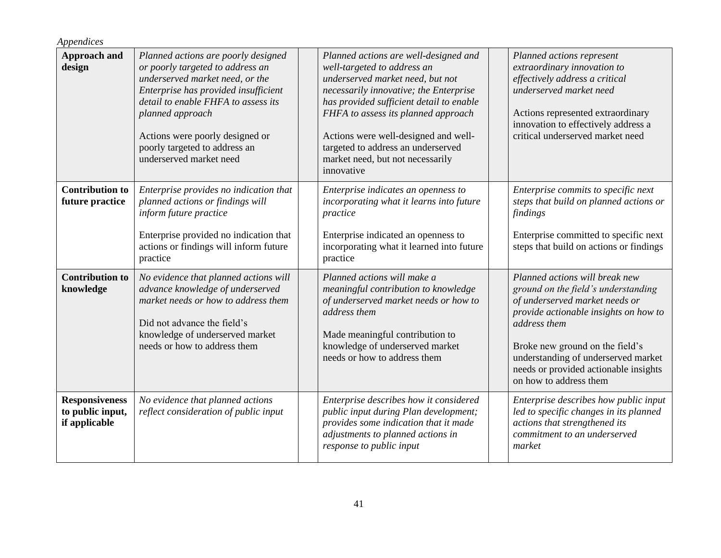| Appendices                                                 |                                                                                                                                                                                                                                                                                                              |                                                                                                                                                                                                                                                                                                                                                                       |                                                                                                                                                                                                                                                                                                               |
|------------------------------------------------------------|--------------------------------------------------------------------------------------------------------------------------------------------------------------------------------------------------------------------------------------------------------------------------------------------------------------|-----------------------------------------------------------------------------------------------------------------------------------------------------------------------------------------------------------------------------------------------------------------------------------------------------------------------------------------------------------------------|---------------------------------------------------------------------------------------------------------------------------------------------------------------------------------------------------------------------------------------------------------------------------------------------------------------|
| <b>Approach and</b><br>design                              | Planned actions are poorly designed<br>or poorly targeted to address an<br>underserved market need, or the<br>Enterprise has provided insufficient<br>detail to enable FHFA to assess its<br>planned approach<br>Actions were poorly designed or<br>poorly targeted to address an<br>underserved market need | Planned actions are well-designed and<br>well-targeted to address an<br>underserved market need, but not<br>necessarily innovative; the Enterprise<br>has provided sufficient detail to enable<br>FHFA to assess its planned approach<br>Actions were well-designed and well-<br>targeted to address an underserved<br>market need, but not necessarily<br>innovative | Planned actions represent<br>extraordinary innovation to<br>effectively address a critical<br>underserved market need<br>Actions represented extraordinary<br>innovation to effectively address a<br>critical underserved market need                                                                         |
| <b>Contribution to</b><br>future practice                  | Enterprise provides no indication that<br>planned actions or findings will<br>inform future practice<br>Enterprise provided no indication that<br>actions or findings will inform future<br>practice                                                                                                         | Enterprise indicates an openness to<br>incorporating what it learns into future<br>practice<br>Enterprise indicated an openness to<br>incorporating what it learned into future<br>practice                                                                                                                                                                           | Enterprise commits to specific next<br>steps that build on planned actions or<br>findings<br>Enterprise committed to specific next<br>steps that build on actions or findings                                                                                                                                 |
| <b>Contribution to</b><br>knowledge                        | No evidence that planned actions will<br>advance knowledge of underserved<br>market needs or how to address them<br>Did not advance the field's<br>knowledge of underserved market<br>needs or how to address them                                                                                           | Planned actions will make a<br>meaningful contribution to knowledge<br>of underserved market needs or how to<br>address them<br>Made meaningful contribution to<br>knowledge of underserved market<br>needs or how to address them                                                                                                                                    | Planned actions will break new<br>ground on the field's understanding<br>of underserved market needs or<br>provide actionable insights on how to<br>address them<br>Broke new ground on the field's<br>understanding of underserved market<br>needs or provided actionable insights<br>on how to address them |
| <b>Responsiveness</b><br>to public input,<br>if applicable | No evidence that planned actions<br>reflect consideration of public input                                                                                                                                                                                                                                    | Enterprise describes how it considered<br>public input during Plan development;<br>provides some indication that it made<br>adjustments to planned actions in<br>response to public input                                                                                                                                                                             | Enterprise describes how public input<br>led to specific changes in its planned<br>actions that strengthened its<br>commitment to an underserved<br>market                                                                                                                                                    |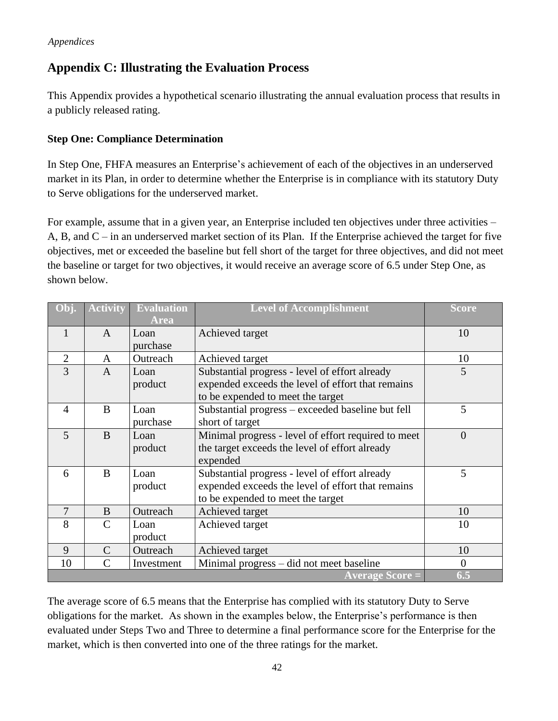## <span id="page-43-0"></span>**Appendix C: Illustrating the Evaluation Process**

This Appendix provides a hypothetical scenario illustrating the annual evaluation process that results in a publicly released rating.

#### **Step One: Compliance Determination**

In Step One, FHFA measures an Enterprise's achievement of each of the objectives in an underserved market in its Plan, in order to determine whether the Enterprise is in compliance with its statutory Duty to Serve obligations for the underserved market.

For example, assume that in a given year, an Enterprise included ten objectives under three activities – A, B, and C – in an underserved market section of its Plan. If the Enterprise achieved the target for five objectives, met or exceeded the baseline but fell short of the target for three objectives, and did not meet the baseline or target for two objectives, it would receive an average score of 6.5 under Step One, as shown below.

|                | <b>Activity</b> | <b>Evaluation</b><br>Area | <b>Level of Accomplishment</b>                                                                                                           | <b>Score</b>   |
|----------------|-----------------|---------------------------|------------------------------------------------------------------------------------------------------------------------------------------|----------------|
| 1              | $\mathsf{A}$    | Loan<br>purchase          | Achieved target                                                                                                                          | 10             |
| $\overline{2}$ | A               | Outreach                  | Achieved target                                                                                                                          | 10             |
| 3              | $\mathsf{A}$    | Loan<br>product           | Substantial progress - level of effort already<br>expended exceeds the level of effort that remains<br>to be expended to meet the target | 5              |
| $\overline{4}$ | B               | Loan<br>purchase          | Substantial progress – exceeded baseline but fell<br>short of target                                                                     | 5              |
| 5              | B               | Loan<br>product           | Minimal progress - level of effort required to meet<br>the target exceeds the level of effort already<br>expended                        | $\overline{0}$ |
| 6              | B               | Loan<br>product           | Substantial progress - level of effort already<br>expended exceeds the level of effort that remains<br>to be expended to meet the target | 5              |
| $\overline{7}$ | B               | Outreach                  | Achieved target                                                                                                                          | 10             |
| 8              | $\mathsf{C}$    | Loan<br>product           | Achieved target                                                                                                                          | 10             |
| 9              | $\mathcal{C}$   | Outreach                  | Achieved target                                                                                                                          | 10             |
| 10             | $\mathcal{C}$   | Investment                | Minimal progress – did not meet baseline                                                                                                 | $\overline{0}$ |
|                |                 |                           | <b>Average Score =</b>                                                                                                                   | 6.5            |

The average score of 6.5 means that the Enterprise has complied with its statutory Duty to Serve obligations for the market. As shown in the examples below, the Enterprise's performance is then evaluated under Steps Two and Three to determine a final performance score for the Enterprise for the market, which is then converted into one of the three ratings for the market.